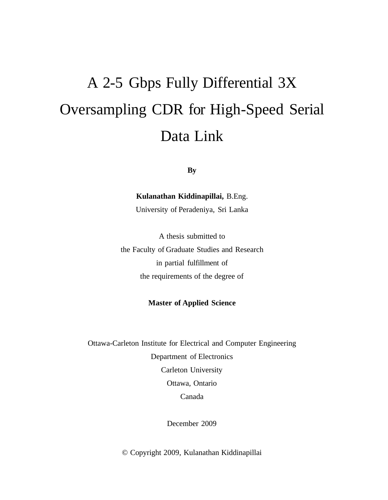# A 2-5 Gbps Fully Differential 3X Oversampling CDR for High-Speed Serial Data Link

**By** 

**Kulanathan Kiddinapillai,** B.Eng. University of Peradeniya, Sri Lanka

A thesis submitted to the Faculty of Graduate Studies and Research in partial fulfillment of the requirements of the degree of

#### **Master of Applied Science**

Ottawa-Carleton Institute for Electrical and Computer Engineering Department of Electronics Carleton University Ottawa, Ontario Canada

December 2009

© Copyright 2009, Kulanathan Kiddinapillai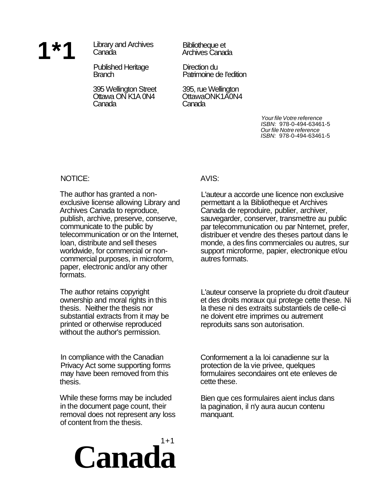**Library and Archives** Canada

Published Heritage **Branch** 

395 Wellington Street Ottawa ON K1A 0N4 Canada

Bibliotheque et Archives Canada

Direction du Patrimoine de I'edition

395, rue Wellington OttawaONK1A0N4 Canada

> Your file Votre reference ISBN: 978-0-494-63461-5 Our file Notre reference ISBN: 978-0-494-63461-5

#### NOTICE: AVIS:

The author has granted a nonexclusive license allowing Library and Archives Canada to reproduce, publish, archive, preserve, conserve, communicate to the public by telecommunication or on the Internet, loan, distribute and sell theses worldwide, for commercial or noncommercial purposes, in microform, paper, electronic and/or any other formats.

The author retains copyright ownership and moral rights in this thesis. Neither the thesis nor substantial extracts from it may be printed or otherwise reproduced without the author's permission.

In compliance with the Canadian Privacy Act some supporting forms may have been removed from this thesis.

While these forms may be included in the document page count, their removal does not represent any loss of content from the thesis.

## $1+1$ **Canada**

L'auteur a accorde une licence non exclusive permettant a la Bibliotheque et Archives Canada de reproduire, publier, archiver, sauvegarder, conserver, transmettre au public par telecommunication ou par Nnternet, prefer, distribuer et vendre des theses partout dans le monde, a des fins commerciales ou autres, sur support microforme, papier, electronique et/ou autres formats.

L'auteur conserve la propriete du droit d'auteur et des droits moraux qui protege cette these. Ni la these ni des extraits substantiels de celle-ci ne doivent etre imprimes ou autrement reproduits sans son autorisation.

Conformement a la loi canadienne sur la protection de la vie privee, quelques formulaires secondaires ont ete enleves de cette these.

Bien que ces formulaires aient inclus dans la pagination, il n'y aura aucun contenu manquant.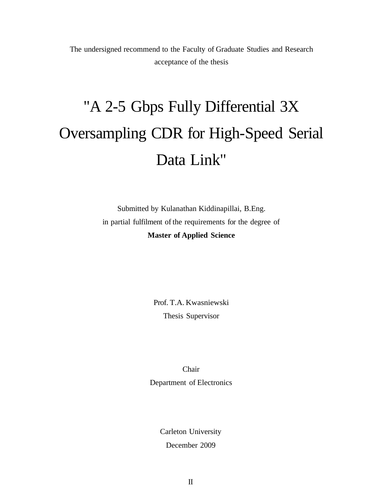The undersigned recommend to the Faculty of Graduate Studies and Research acceptance of the thesis

# "A 2-5 Gbps Fully Differential 3X Oversampling CDR for High-Speed Serial Data Link"

Submitted by Kulanathan Kiddinapillai, B.Eng. in partial fulfilment of the requirements for the degree of **Master of Applied Science** 

> Prof. T.A. Kwasniewski Thesis Supervisor

Chair Department of Electronics

> Carleton University December 2009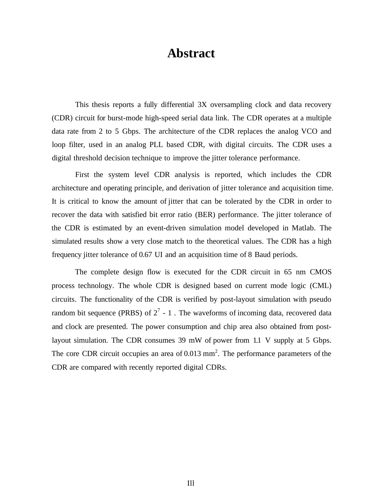### **Abstract**

This thesis reports a fully differential 3X oversampling clock and data recovery (CDR) circuit for burst-mode high-speed serial data link. The CDR operates at a multiple data rate from 2 to 5 Gbps. The architecture of the CDR replaces the analog VCO and loop filter, used in an analog PLL based CDR, with digital circuits. The CDR uses a digital threshold decision technique to improve the jitter tolerance performance.

First the system level CDR analysis is reported, which includes the CDR architecture and operating principle, and derivation of jitter tolerance and acquisition time. It is critical to know the amount of jitter that can be tolerated by the CDR in order to recover the data with satisfied bit error ratio (BER) performance. The jitter tolerance of the CDR is estimated by an event-driven simulation model developed in Matlab. The simulated results show a very close match to the theoretical values. The CDR has a high frequency jitter tolerance of 0.67 UI and an acquisition time of 8 Baud periods.

The complete design flow is executed for the CDR circuit in 65 nm CMOS process technology. The whole CDR is designed based on current mode logic (CML) circuits. The functionality of the CDR is verified by post-layout simulation with pseudo random bit sequence (PRBS) of  $2^7$  - 1. The waveforms of incoming data, recovered data and clock are presented. The power consumption and chip area also obtained from postlayout simulation. The CDR consumes 39 mW of power from 1.1 V supply at 5 Gbps. The core CDR circuit occupies an area of  $0.013 \text{ mm}^2$ . The performance parameters of the CDR are compared with recently reported digital CDRs.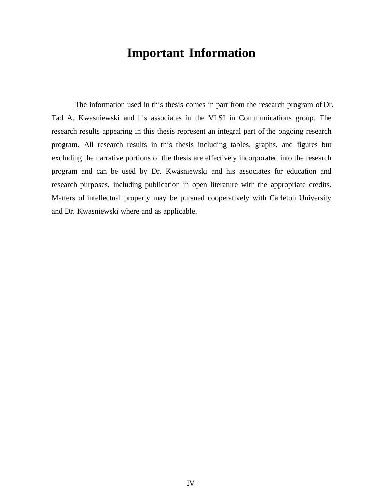### **Important Information**

The information used in this thesis comes in part from the research program of Dr. Tad A. Kwasniewski and his associates in the VLSI in Communications group. The research results appearing in this thesis represent an integral part of the ongoing research program. All research results in this thesis including tables, graphs, and figures but excluding the narrative portions of the thesis are effectively incorporated into the research program and can be used by Dr. Kwasniewski and his associates for education and research purposes, including publication in open literature with the appropriate credits. Matters of intellectual property may be pursued cooperatively with Carleton University and Dr. Kwasniewski where and as applicable.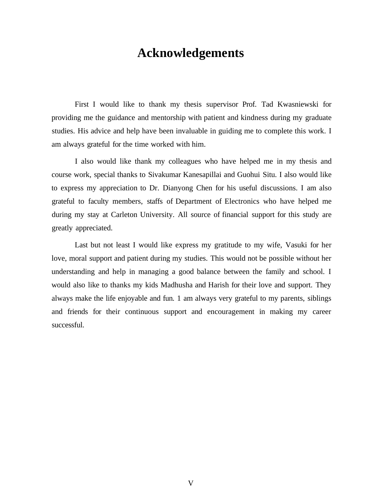### **Acknowledgements**

First I would like to thank my thesis supervisor Prof. Tad Kwasniewski for providing me the guidance and mentorship with patient and kindness during my graduate studies. His advice and help have been invaluable in guiding me to complete this work. I am always grateful for the time worked with him.

I also would like thank my colleagues who have helped me in my thesis and course work, special thanks to Sivakumar Kanesapillai and Guohui Situ. I also would like to express my appreciation to Dr. Dianyong Chen for his useful discussions. I am also grateful to faculty members, staffs of Department of Electronics who have helped me during my stay at Carleton University. All source of financial support for this study are greatly appreciated.

Last but not least I would like express my gratitude to my wife, Vasuki for her love, moral support and patient during my studies. This would not be possible without her understanding and help in managing a good balance between the family and school. I would also like to thanks my kids Madhusha and Harish for their love and support. They always make the life enjoyable and fun. 1 am always very grateful to my parents, siblings and friends for their continuous support and encouragement in making my career successful.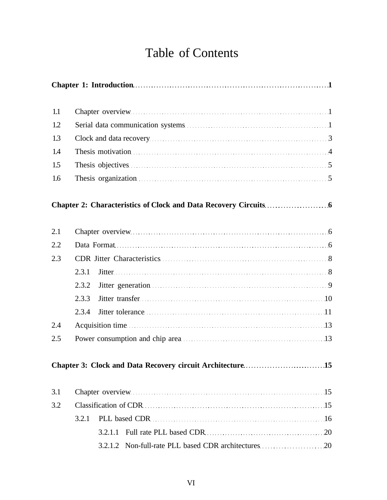## Table of Contents

| 1.1 |                           |
|-----|---------------------------|
| 1.2 |                           |
| 1.3 | Clock and data recovery 3 |
| 1.4 |                           |
|     |                           |
| 1.5 |                           |
| 1.6 |                           |
|     |                           |
| 2.1 |                           |
| 2.2 | Data Format 6. 6          |
| 2.3 |                           |
|     | 2.3.1                     |
|     | 2.3.2                     |
|     | 2.3.3                     |
|     | 2.3.4                     |
| 2.4 |                           |
| 2.5 |                           |
|     |                           |
| 3.1 |                           |
| 3.2 |                           |
|     | 3.2.1                     |
|     | 3.2.1.1                   |
|     |                           |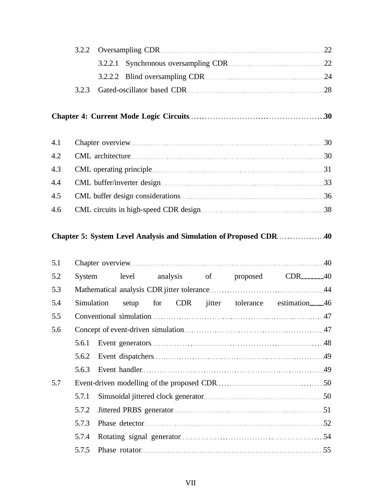### **Chapter 4: Current Mode Logic Circuits 30**

| 4.3 CML operating principle material contact the contract of the contract of the contract of the contract of the contract of the contract of the contract of the contract of the contract of the contract of the contract of t |  |
|--------------------------------------------------------------------------------------------------------------------------------------------------------------------------------------------------------------------------------|--|
|                                                                                                                                                                                                                                |  |
| 4.5 CML buffer design considerations expansion and the SML buffer design considerations                                                                                                                                        |  |
|                                                                                                                                                                                                                                |  |

#### **Chapter 5: System Level Analysis and Simulation of Proposed CDR................. 40**

| 5.1 |       |            |  |  |  |  |                            |                                                                                                                                                                                                                                |  |
|-----|-------|------------|--|--|--|--|----------------------------|--------------------------------------------------------------------------------------------------------------------------------------------------------------------------------------------------------------------------------|--|
| 5.2 |       | System     |  |  |  |  | level analysis of proposed | $CDR$ 40                                                                                                                                                                                                                       |  |
| 5.3 |       |            |  |  |  |  |                            |                                                                                                                                                                                                                                |  |
| 5.4 |       | Simulation |  |  |  |  |                            | setup for CDR jitter tolerance estimation 46                                                                                                                                                                                   |  |
| 5.5 |       |            |  |  |  |  |                            | Conventional simulation expansion of the state of the state of the state of the state of the state of the state of the state of the state of the state of the state of the state of the state of the state of the state of the |  |
| 5.6 |       |            |  |  |  |  |                            |                                                                                                                                                                                                                                |  |
|     | 5.6.1 |            |  |  |  |  |                            |                                                                                                                                                                                                                                |  |
|     |       |            |  |  |  |  |                            |                                                                                                                                                                                                                                |  |
|     | 5.6.3 |            |  |  |  |  |                            | Event handler (1994) and the set of the set of the set of the set of the set of the set of the set of the set of the set of the set of the set of the set of the set of the set of the set of the set of the set of the set of |  |
| 5.7 |       |            |  |  |  |  |                            |                                                                                                                                                                                                                                |  |
|     | 5.7.1 |            |  |  |  |  |                            |                                                                                                                                                                                                                                |  |
|     | 5.7.2 |            |  |  |  |  |                            |                                                                                                                                                                                                                                |  |
|     | 5.7.3 |            |  |  |  |  |                            | Phase detector 52                                                                                                                                                                                                              |  |
|     | 5.7.4 |            |  |  |  |  |                            |                                                                                                                                                                                                                                |  |
|     | 5.7.5 |            |  |  |  |  |                            | Phase rotator 55                                                                                                                                                                                                               |  |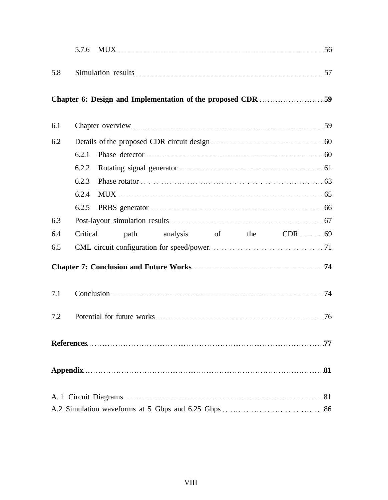|     | 5.7.6    |  |             |                   |  |  |                     |  |
|-----|----------|--|-------------|-------------------|--|--|---------------------|--|
| 5.8 |          |  |             |                   |  |  |                     |  |
|     |          |  |             |                   |  |  |                     |  |
| 6.1 |          |  |             |                   |  |  |                     |  |
| 6.2 |          |  |             |                   |  |  |                     |  |
|     | 6.2.1    |  |             |                   |  |  |                     |  |
|     | 6.2.2    |  |             |                   |  |  |                     |  |
|     | 6.2.3    |  |             |                   |  |  |                     |  |
|     | 6.2.4    |  |             |                   |  |  |                     |  |
|     | 6.2.5    |  |             | PRBS generator 66 |  |  |                     |  |
| 6.3 |          |  |             |                   |  |  |                     |  |
| 6.4 | Critical |  | <i>path</i> | analysis of the   |  |  | $CDR$ <sub>69</sub> |  |
| 6.5 |          |  |             |                   |  |  |                     |  |
|     |          |  |             |                   |  |  |                     |  |
| 7.1 |          |  |             | Conclusion 74     |  |  |                     |  |
| 7.2 |          |  |             |                   |  |  |                     |  |
|     |          |  |             |                   |  |  |                     |  |
|     |          |  |             |                   |  |  |                     |  |
|     |          |  |             |                   |  |  |                     |  |
|     |          |  |             |                   |  |  |                     |  |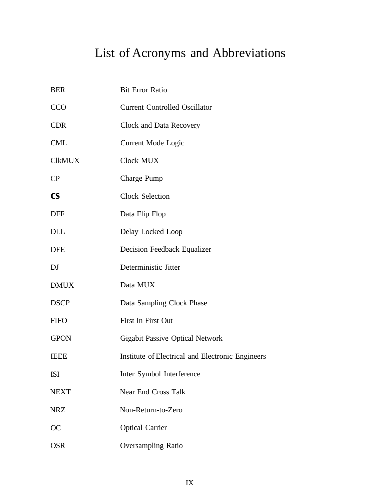## List of Acronyms and Abbreviations

| <b>BER</b>    | <b>Bit Error Ratio</b>                           |
|---------------|--------------------------------------------------|
| <b>CCO</b>    | <b>Current Controlled Oscillator</b>             |
| <b>CDR</b>    | Clock and Data Recovery                          |
| <b>CML</b>    | <b>Current Mode Logic</b>                        |
| <b>CIKMUX</b> | Clock MUX                                        |
| CP            | Charge Pump                                      |
| <b>CS</b>     | <b>Clock Selection</b>                           |
| <b>DFF</b>    | Data Flip Flop                                   |
| DLL           | Delay Locked Loop                                |
| <b>DFE</b>    | Decision Feedback Equalizer                      |
| DJ            | Deterministic Jitter                             |
| <b>DMUX</b>   | Data MUX                                         |
| <b>DSCP</b>   | Data Sampling Clock Phase                        |
| <b>FIFO</b>   | First In First Out                               |
| <b>GPON</b>   | <b>Gigabit Passive Optical Network</b>           |
| <b>IEEE</b>   | Institute of Electrical and Electronic Engineers |
| ISI           | Inter Symbol Interference                        |
| <b>NEXT</b>   | <b>Near End Cross Talk</b>                       |
| <b>NRZ</b>    | Non-Return-to-Zero                               |
| <b>OC</b>     | <b>Optical Carrier</b>                           |
| <b>OSR</b>    | <b>Oversampling Ratio</b>                        |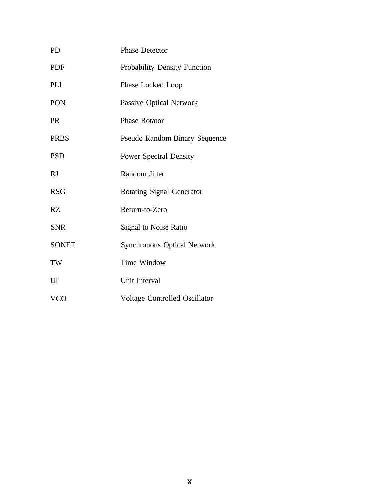| PD           | <b>Phase Detector</b>                |
|--------------|--------------------------------------|
| <b>PDF</b>   | Probability Density Function         |
| PLL          | Phase Locked Loop                    |
| <b>PON</b>   | Passive Optical Network              |
| <b>PR</b>    | <b>Phase Rotator</b>                 |
| <b>PRBS</b>  | <b>Pseudo Random Binary Sequence</b> |
| <b>PSD</b>   | <b>Power Spectral Density</b>        |
| RJ           | Random Jitter                        |
| <b>RSG</b>   | <b>Rotating Signal Generator</b>     |
| RZ           | Return-to-Zero                       |
| <b>SNR</b>   | <b>Signal to Noise Ratio</b>         |
| <b>SONET</b> | <b>Synchronous Optical Network</b>   |
| TW           | Time Window                          |
| UI           | Unit Interval                        |
| <b>VCO</b>   | <b>Voltage Controlled Oscillator</b> |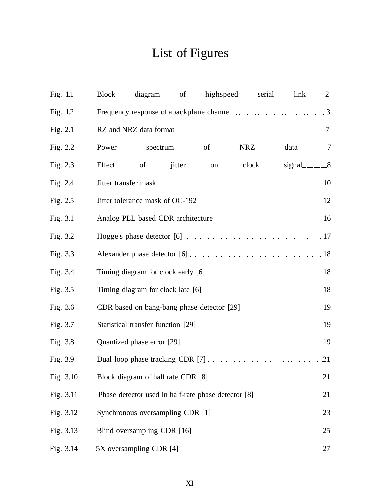## List of Figures

| Fig. 1.1    | Block  | diagram                                                                                               | of     | highspeed | serial | $link$ 2            |  |
|-------------|--------|-------------------------------------------------------------------------------------------------------|--------|-----------|--------|---------------------|--|
| Fig. 1.2    |        |                                                                                                       |        |           |        |                     |  |
| Fig. 2.1    |        |                                                                                                       |        |           |        |                     |  |
| Fig. 2.2    | Power  | spectrum                                                                                              |        | of        | NRZ    | $data$ 7            |  |
| Fig. 2.3    | Effect | $\circ$ f                                                                                             | jitter | on        | clock  | signal <sub>8</sub> |  |
| Fig. 2.4    |        |                                                                                                       |        |           |        |                     |  |
| Fig. 2.5    |        |                                                                                                       |        |           |        |                     |  |
| Fig. 3.1    |        | Analog PLL based CDR architecture manufacture 16                                                      |        |           |        |                     |  |
| Fig. 3.2    |        | Hogge's phase detector [6] 17                                                                         |        |           |        |                     |  |
| Fig. 3.3    |        | Alexander phase detector [6] Martin Martin 18                                                         |        |           |        |                     |  |
| Fig. 3.4    |        |                                                                                                       |        |           |        |                     |  |
| Fig. 3.5    |        |                                                                                                       |        |           |        |                     |  |
| Fig. 3.6    |        |                                                                                                       |        |           |        |                     |  |
| Fig. 3.7    |        | Statistical transfer function [29] <i>manufacture contains the statistical</i> transfer function [29] |        |           |        |                     |  |
| Fig. 3.8    |        |                                                                                                       |        |           |        |                     |  |
| Fig. 3.9    |        |                                                                                                       |        |           |        |                     |  |
| Fig. $3.10$ |        |                                                                                                       |        |           |        |                     |  |
| Fig. 3.11   |        |                                                                                                       |        |           |        |                     |  |
| Fig. 3.12   |        |                                                                                                       |        |           |        |                     |  |
| Fig. 3.13   |        |                                                                                                       |        |           |        |                     |  |
| Fig. 3.14   |        | 5X oversampling CDR [4] 27                                                                            |        |           |        |                     |  |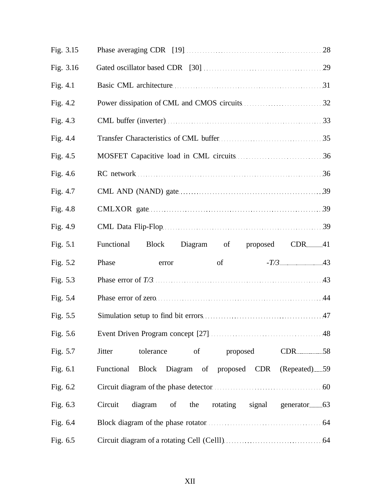| Fig. 3.15  | Phase averaging CDR [19] 28                                           |  |
|------------|-----------------------------------------------------------------------|--|
| Fig. 3.16  |                                                                       |  |
| Fig. 4.1   |                                                                       |  |
| Fig. 4.2   |                                                                       |  |
| Fig. 4.3   | CML buffer (inverter) 33                                              |  |
| Fig. 4.4   |                                                                       |  |
| Fig. 4.5   |                                                                       |  |
| Fig. 4.6   | RC network 36                                                         |  |
| Fig. 4.7   |                                                                       |  |
| Fig. 4.8   |                                                                       |  |
| Fig. 4.9   | CML Data Flip-Flop 2000 2000 2000 2000 39                             |  |
| Fig. 5.1   | Functional<br>Block<br>Diagram of<br>proposed<br>$CDR$ <sub>-41</sub> |  |
| Fig. 5.2   | $-T/3$ 43<br>Phase<br>of<br>error                                     |  |
| Fig. 5.3   |                                                                       |  |
| Fig. 5.4   |                                                                       |  |
| Fig. 5.5   |                                                                       |  |
| Fig. 5.6   |                                                                       |  |
| Fig. 5.7   | tolerance<br>of proposed<br>CDR <sub>___________</sub> 58<br>Jitter   |  |
| Fig. $6.1$ | Functional Block Diagram of proposed CDR (Repeated) 59                |  |
| Fig. $6.2$ |                                                                       |  |
| Fig. 6.3   | diagram of the rotating signal generator 63<br>Circuit                |  |
| Fig. 6.4   |                                                                       |  |
| Fig. 6.5   |                                                                       |  |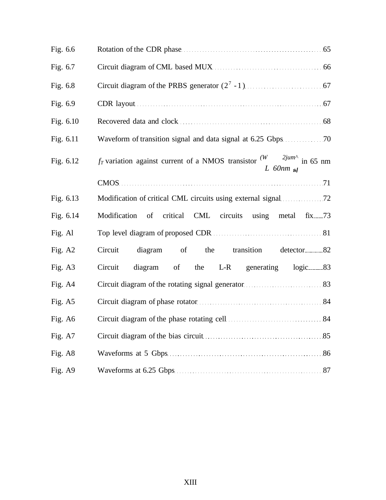| Fig. 6.6    | Rotation of the CDR phase 1996 and 1997 and 1997 and 1997 and 1997 and 1997 and 1997 and 1997 and 1997 and 199             |  |  |  |
|-------------|----------------------------------------------------------------------------------------------------------------------------|--|--|--|
| Fig. 6.7    |                                                                                                                            |  |  |  |
| Fig. 6.8    |                                                                                                                            |  |  |  |
| Fig. 6.9    | CDR layout 67                                                                                                              |  |  |  |
| Fig. $6.10$ |                                                                                                                            |  |  |  |
| Fig. 6.11   |                                                                                                                            |  |  |  |
| Fig. 6.12   | $f_T$ variation against current of a NMOS transistor $\frac{W}{W}$ $\frac{2\text{jum}}{\text{s}}$ in 65 nm<br>L $60nm_{M}$ |  |  |  |
|             |                                                                                                                            |  |  |  |
| Fig. 6.13   | Modification of critical CML circuits using external signal 22 22                                                          |  |  |  |
| Fig. 6.14   | Modification of critical CML circuits using metal fix 73                                                                   |  |  |  |
| Fig. Al     |                                                                                                                            |  |  |  |
| Fig. A2     | diagram of the transition detector 82<br>Circuit                                                                           |  |  |  |
| Fig. A3     | diagram of the L-R generating logic 83<br>Circuit                                                                          |  |  |  |
| Fig. A4     | Circuit diagram of the rotating signal generator 33                                                                        |  |  |  |
| Fig. A5     |                                                                                                                            |  |  |  |
| Fig. A6     |                                                                                                                            |  |  |  |
| Fig. A7     |                                                                                                                            |  |  |  |
| Fig. A8     |                                                                                                                            |  |  |  |
| Fig. A9     |                                                                                                                            |  |  |  |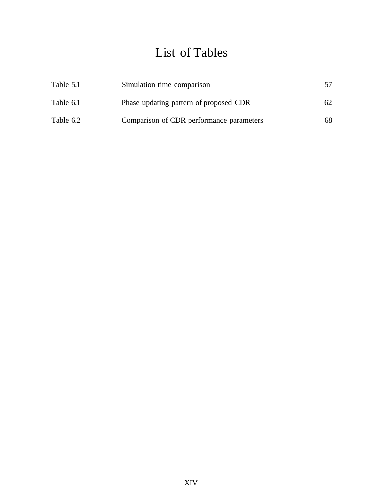## List of Tables

| Table 5.1 |  |
|-----------|--|
| Table 6.1 |  |
| Table 6.2 |  |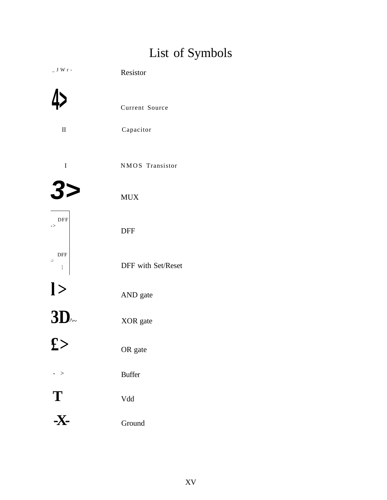## List of Symbols

| $\frac{1}{x}$ J W r -                         | Resistor                    |
|-----------------------------------------------|-----------------------------|
| $\rm II$                                      | Current Source<br>Capacitor |
| $\bf I$                                       | NMOS Transistor             |
| 3:                                            | <b>MUX</b>                  |
| DFF<br>$\rightarrow$                          | <b>DFF</b>                  |
| <b>DFF</b><br>$\cdot \rangle$<br>$\mathbf{I}$ | DFF with Set/Reset          |
| $\vert$                                       | AND gate                    |
| $3D2$<br>$f2$                                 | XOR gate                    |
|                                               | OR gate                     |
| $-$ >                                         | <b>Buffer</b>               |
| T                                             | Vdd                         |
| $\mathbf{X}$                                  | Ground                      |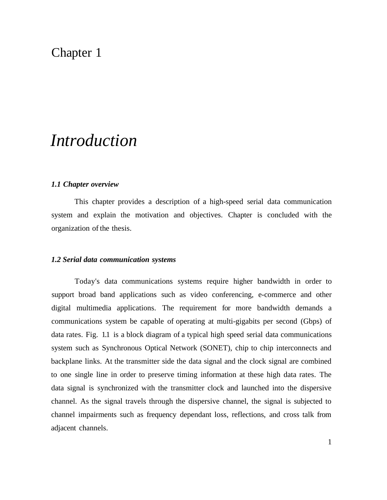### Chapter 1

## *Introduction*

#### *1.1 Chapter overview*

This chapter provides a description of a high-speed serial data communication system and explain the motivation and objectives. Chapter is concluded with the organization of the thesis.

#### *1.2 Serial data communication systems*

Today's data communications systems require higher bandwidth in order to support broad band applications such as video conferencing, e-commerce and other digital multimedia applications. The requirement for more bandwidth demands a communications system be capable of operating at multi-gigabits per second (Gbps) of data rates. Fig. 1.1 is a block diagram of a typical high speed serial data communications system such as Synchronous Optical Network (SONET), chip to chip interconnects and backplane links. At the transmitter side the data signal and the clock signal are combined to one single line in order to preserve timing information at these high data rates. The data signal is synchronized with the transmitter clock and launched into the dispersive channel. As the signal travels through the dispersive channel, the signal is subjected to channel impairments such as frequency dependant loss, reflections, and cross talk from adjacent channels.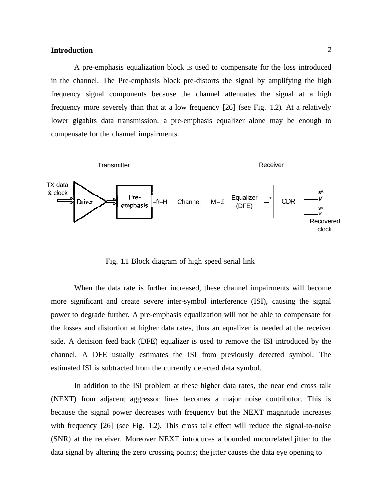A pre-emphasis equalization block is used to compensate for the loss introduced in the channel. The Pre-emphasis block pre-distorts the signal by amplifying the high frequency signal components because the channel attenuates the signal at a high frequency more severely than that at a low frequency [26] (see Fig. 1.2). At a relatively lower gigabits data transmission, a pre-emphasis equalizer alone may be enough to compensate for the channel impairments.



Fig. 1.1 Block diagram of high speed serial link

When the data rate is further increased, these channel impairments will become more significant and create severe inter-symbol interference (ISI), causing the signal power to degrade further. A pre-emphasis equalization will not be able to compensate for the losses and distortion at higher data rates, thus an equalizer is needed at the receiver side. A decision feed back (DFE) equalizer is used to remove the ISI introduced by the channel. A DFE usually estimates the ISI from previously detected symbol. The estimated ISI is subtracted from the currently detected data symbol.

In addition to the ISI problem at these higher data rates, the near end cross talk (NEXT) from adjacent aggressor lines becomes a major noise contributor. This is because the signal power decreases with frequency but the NEXT magnitude increases with frequency [26] (see Fig. 1.2). This cross talk effect will reduce the signal-to-noise (SNR) at the receiver. Moreover NEXT introduces a bounded uncorrelated jitter to the data signal by altering the zero crossing points; the jitter causes the data eye opening to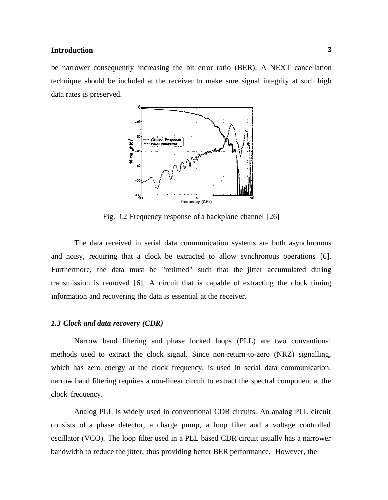be narrower consequently increasing the bit error ratio (BER). A NEXT cancellation technique should be included at the receiver to make sure signal integrity at such high data rates is preserved.



Fig. 1.2 Frequency response of a backplane channel [26]

The data received in serial data communication systems are both asynchronous and noisy, requiring that a clock be extracted to allow synchronous operations [6]. Furthermore, the data must be "retimed" such that the jitter accumulated during transmission is removed [6]. A circuit that is capable of extracting the clock timing information and recovering the data is essential at the receiver.

#### *1.3 Clock and data recovery (CDR)*

Narrow band filtering and phase locked loops (PLL) are two conventional methods used to extract the clock signal. Since non-return-to-zero (NRZ) signalling, which has zero energy at the clock frequency, is used in serial data communication, narrow band filtering requires a non-linear circuit to extract the spectral component at the clock frequency.

Analog PLL is widely used in conventional CDR circuits. An analog PLL circuit consists of a phase detector, a charge pump, a loop filter and a voltage controlled oscillator (VCO). The loop filter used in a PLL based CDR circuit usually has a narrower bandwidth to reduce the jitter, thus providing better BER performance. However, the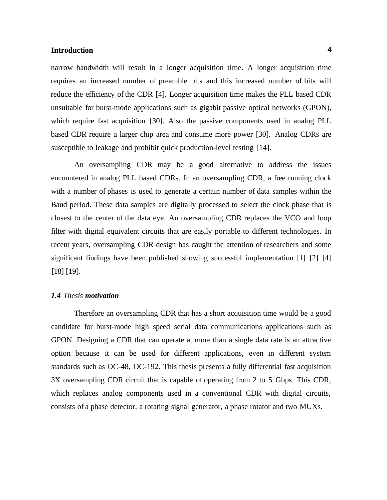narrow bandwidth will result in a longer acquisition time. A longer acquisition time requires an increased number of preamble bits and this increased number of bits will reduce the efficiency of the CDR [4]. Longer acquisition time makes the PLL based CDR unsuitable for burst-mode applications such as gigabit passive optical networks (GPON), which require fast acquisition [30]. Also the passive components used in analog PLL based CDR require a larger chip area and consume more power [30]. Analog CDRs are susceptible to leakage and prohibit quick production-level testing [14].

An oversampling CDR may be a good alternative to address the issues encountered in analog PLL based CDRs. In an oversampling CDR, a free running clock with a number of phases is used to generate a certain number of data samples within the Baud period. These data samples are digitally processed to select the clock phase that is closest to the center of the data eye. An oversampling CDR replaces the VCO and loop filter with digital equivalent circuits that are easily portable to different technologies. In recent years, oversampling CDR design has caught the attention of researchers and some significant findings have been published showing successful implementation [1] [2] [4] [18] [19].

#### *1.4 Thesis motivation*

Therefore an oversampling CDR that has a short acquisition time would be a good candidate for burst-mode high speed serial data communications applications such as GPON. Designing a CDR that can operate at more than a single data rate is an attractive option because it can be used for different applications, even in different system standards such as OC-48, OC-192. This thesis presents a fully differential fast acquisition 3X oversampling CDR circuit that is capable of operating from 2 to 5 Gbps. This CDR, which replaces analog components used in a conventional CDR with digital circuits, consists of a phase detector, a rotating signal generator, a phase rotator and two MUXs.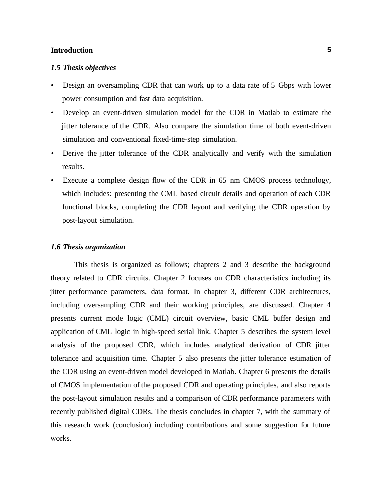#### *1.5 Thesis objectives*

- Design an oversampling CDR that can work up to a data rate of 5 Gbps with lower power consumption and fast data acquisition.
- Develop an event-driven simulation model for the CDR in Matlab to estimate the jitter tolerance of the CDR. Also compare the simulation time of both event-driven simulation and conventional fixed-time-step simulation.
- Derive the jitter tolerance of the CDR analytically and verify with the simulation results.
- Execute a complete design flow of the CDR in 65 nm CMOS process technology, which includes: presenting the CML based circuit details and operation of each CDR functional blocks, completing the CDR layout and verifying the CDR operation by post-layout simulation.

#### *1.6 Thesis organization*

This thesis is organized as follows; chapters 2 and 3 describe the background theory related to CDR circuits. Chapter 2 focuses on CDR characteristics including its jitter performance parameters, data format. In chapter 3, different CDR architectures, including oversampling CDR and their working principles, are discussed. Chapter 4 presents current mode logic (CML) circuit overview, basic CML buffer design and application of CML logic in high-speed serial link. Chapter 5 describes the system level analysis of the proposed CDR, which includes analytical derivation of CDR jitter tolerance and acquisition time. Chapter 5 also presents the jitter tolerance estimation of the CDR using an event-driven model developed in Matlab. Chapter 6 presents the details of CMOS implementation of the proposed CDR and operating principles, and also reports the post-layout simulation results and a comparison of CDR performance parameters with recently published digital CDRs. The thesis concludes in chapter 7, with the summary of this research work (conclusion) including contributions and some suggestion for future works.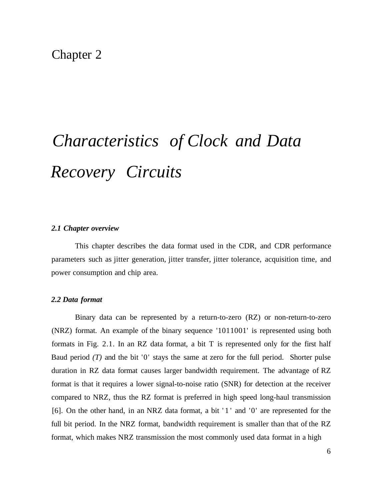### Chapter 2

# *Characteristics of Clock and Data Recovery Circuits*

#### *2.1 Chapter overview*

This chapter describes the data format used in the CDR, and CDR performance parameters such as jitter generation, jitter transfer, jitter tolerance, acquisition time, and power consumption and chip area.

#### *2.2 Data format*

Binary data can be represented by a return-to-zero (RZ) or non-return-to-zero (NRZ) format. An example of the binary sequence '1011001' is represented using both formats in Fig. 2.1. In an RZ data format, a bit T is represented only for the first half Baud period *(T)* and the bit '0' stays the same at zero for the full period. Shorter pulse duration in RZ data format causes larger bandwidth requirement. The advantage of RZ format is that it requires a lower signal-to-noise ratio (SNR) for detection at the receiver compared to NRZ, thus the RZ format is preferred in high speed long-haul transmission [6]. On the other hand, in an NRZ data format, a bit '1' and '0' are represented for the full bit period. In the NRZ format, bandwidth requirement is smaller than that of the RZ format, which makes NRZ transmission the most commonly used data format in a high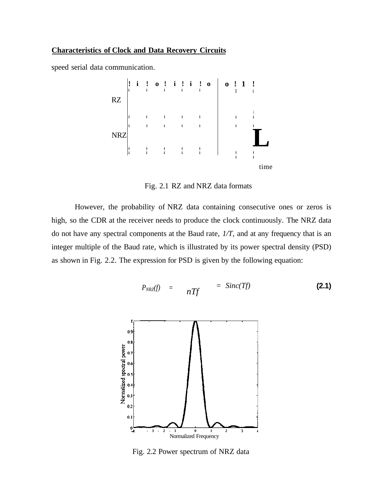#### **Characteristics of Clock and Data Recovery Circuits**

speed serial data communication.



Fig. 2.1 RZ and NRZ data formats

However, the probability of NRZ data containing consecutive ones or zeros is high, so the CDR at the receiver needs to produce the clock continuously. The NRZ data do not have any spectral components at the Baud rate, *1/T,* and at any frequency that is an integer multiple of the Baud rate, which is illustrated by its power spectral density (PSD) as shown in Fig. 2.2. The expression for PSD is given by the following equation:

$$
P_{NRZ}(f) = nTf = Sinc(Tf)
$$
 (2.1)



Fig. 2.2 Power spectrum of NRZ data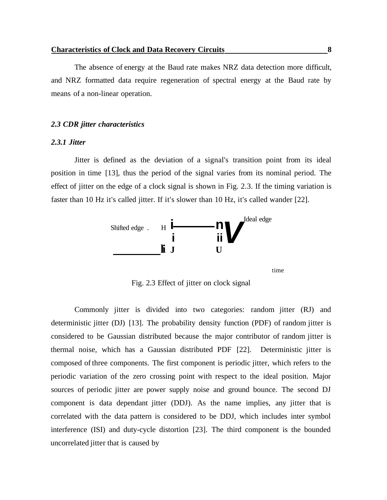The absence of energy at the Baud rate makes NRZ data detection more difficult, and NRZ formatted data require regeneration of spectral energy at the Baud rate by means of a non-linear operation.

#### *2.3 CDR jitter characteristics*

#### *2.3.1 Jitter*

Jitter is defined as the deviation of a signal's transition point from its ideal position in time [13], thus the period of the signal varies from its nominal period. The effect of jitter on the edge of a clock signal is shown in Fig. 2.3. If the timing variation is faster than 10 Hz it's called jitter. If it's slower than 10 Hz, it's called wander [22].



Fig. 2.3 Effect of jitter on clock signal

Commonly jitter is divided into two categories: random jitter (RJ) and deterministic jitter (DJ) [13]. The probability density function (PDF) of random jitter is considered to be Gaussian distributed because the major contributor of random jitter is thermal noise, which has a Gaussian distributed PDF [22]. Deterministic jitter is composed of three components. The first component is periodic jitter, which refers to the periodic variation of the zero crossing point with respect to the ideal position. Major sources of periodic jitter are power supply noise and ground bounce. The second DJ component is data dependant jitter (DDJ). As the name implies, any jitter that is correlated with the data pattern is considered to be DDJ, which includes inter symbol interference (ISI) and duty-cycle distortion [23]. The third component is the bounded uncorrelated jitter that is caused by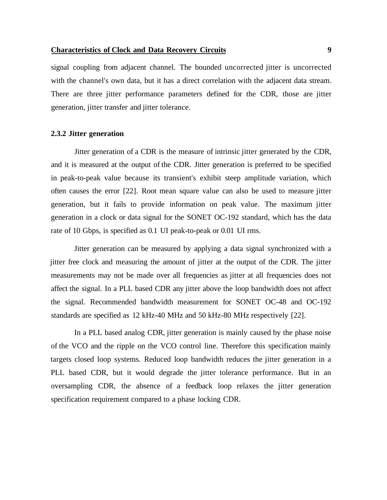#### **Characteristics of Clock and Data Recovery Circuits 9**

signal coupling from adjacent channel. The bounded uncorrected jitter is uncorrected with the channel's own data, but it has a direct correlation with the adjacent data stream. There are three jitter performance parameters defined for the CDR, those are jitter generation, jitter transfer and jitter tolerance.

#### **2.3.2 Jitter generation**

Jitter generation of a CDR is the measure of intrinsic jitter generated by the CDR, and it is measured at the output of the CDR. Jitter generation is preferred to be specified in peak-to-peak value because its transient's exhibit steep amplitude variation, which often causes the error [22]. Root mean square value can also be used to measure jitter generation, but it fails to provide information on peak value. The maximum jitter generation in a clock or data signal for the SONET OC-192 standard, which has the data rate of 10 Gbps, is specified as 0.1 UI peak-to-peak or 0.01 UI rms.

Jitter generation can be measured by applying a data signal synchronized with a jitter free clock and measuring the amount of jitter at the output of the CDR. The jitter measurements may not be made over all frequencies as jitter at all frequencies does not affect the signal. In a PLL based CDR any jitter above the loop bandwidth does not affect the signal. Recommended bandwidth measurement for SONET OC-48 and OC-192 standards are specified as 12 kHz-40 MHz and 50 kHz-80 MHz respectively [22].

In a PLL based analog CDR, jitter generation is mainly caused by the phase noise of the VCO and the ripple on the VCO control line. Therefore this specification mainly targets closed loop systems. Reduced loop bandwidth reduces the jitter generation in a PLL based CDR, but it would degrade the jitter tolerance performance. But in an oversampling CDR, the absence of a feedback loop relaxes the jitter generation specification requirement compared to a phase locking CDR.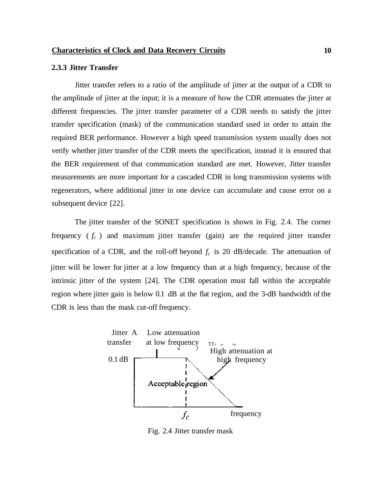#### **2.3.3 Jitter Transfer**

Jitter transfer refers to a ratio of the amplitude of jitter at the output of a CDR to the amplitude of jitter at the input; it is a measure of how the CDR attenuates the jitter at different frequencies. The jitter transfer parameter of a CDR needs to satisfy the jitter transfer specification (mask) of the communication standard used in order to attain the required BER performance. However a high speed transmission system usually does not verify whether jitter transfer of the CDR meets the specification, instead it is ensured that the BER requirement of that communication standard are met. However, Jitter transfer measurements are more important for a cascaded CDR in long transmission systems with regenerators, where additional jitter in one device can accumulate and cause error on a subsequent device [22].

The jitter transfer of the SONET specification is shown in Fig. 2.4. The corner frequency  $(f_c)$  and maximum jitter transfer (gain) are the required jitter transfer specification of a CDR, and the roll-off beyond  $f_c$  is 20 dB/decade. The attenuation of jitter will be lower for jitter at a low frequency than at a high frequency, because of the intrinsic jitter of the system [24]. The CDR operation must fall within the acceptable region where jitter gain is below 0.1 dB at the flat region, and the 3-dB bandwidth of the CDR is less than the mask cut-off frequency.



Fig. 2.4 Jitter transfer mask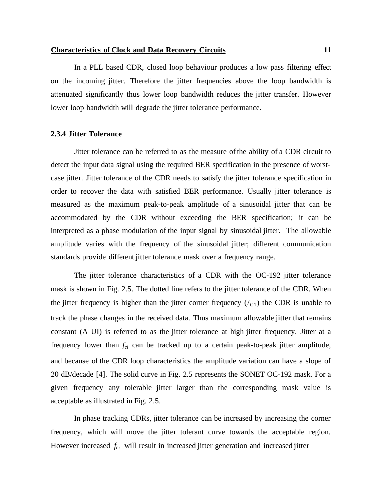#### **Characteristics of Clock and Data Recovery Circuits 11**

In a PLL based CDR, closed loop behaviour produces a low pass filtering effect on the incoming jitter. Therefore the jitter frequencies above the loop bandwidth is attenuated significantly thus lower loop bandwidth reduces the jitter transfer. However lower loop bandwidth will degrade the jitter tolerance performance.

#### **2.3.4 Jitter Tolerance**

Jitter tolerance can be referred to as the measure of the ability of a CDR circuit to detect the input data signal using the required BER specification in the presence of worstcase jitter. Jitter tolerance of the CDR needs to satisfy the jitter tolerance specification in order to recover the data with satisfied BER performance. Usually jitter tolerance is measured as the maximum peak-to-peak amplitude of a sinusoidal jitter that can be accommodated by the CDR without exceeding the BER specification; it can be interpreted as a phase modulation of the input signal by sinusoidal jitter. The allowable amplitude varies with the frequency of the sinusoidal jitter; different communication standards provide different jitter tolerance mask over a frequency range.

The jitter tolerance characteristics of a CDR with the OC-192 jitter tolerance mask is shown in Fig. 2.5. The dotted line refers to the jitter tolerance of the CDR. When the jitter frequency is higher than the jitter corner frequency  $(\ell_{C1})$  the CDR is unable to track the phase changes in the received data. Thus maximum allowable jitter that remains constant (A UI) is referred to as the jitter tolerance at high jitter frequency. Jitter at a frequency lower than *fcl* can be tracked up to a certain peak-to-peak jitter amplitude, and because of the CDR loop characteristics the amplitude variation can have a slope of 20 dB/decade [4]. The solid curve in Fig. 2.5 represents the SONET OC-192 mask. For a given frequency any tolerable jitter larger than the corresponding mask value is acceptable as illustrated in Fig. 2.5.

In phase tracking CDRs, jitter tolerance can be increased by increasing the corner frequency, which will move the jitter tolerant curve towards the acceptable region. However increased *fci* will result in increased jitter generation and increased jitter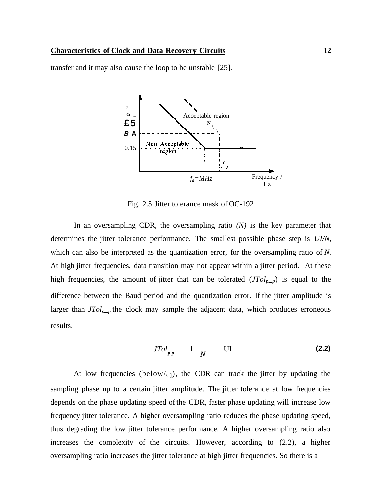

transfer and it may also cause the loop to be unstable [25].

Fig. 2.5 Jitter tolerance mask of OC-192

In an oversampling CDR, the oversampling ratio *(N)* is the key parameter that determines the jitter tolerance performance. The smallest possible phase step is *UI/N,*  which can also be interpreted as the quantization error, for the oversampling ratio of N. At high jitter frequencies, data transition may not appear within a jitter period. At these high frequencies, the amount of jitter that can be tolerated  $(JTol_{p-p})$  is equal to the difference between the Baud period and the quantization error. If the jitter amplitude is larger than  $JTol_{p-p}$  the clock may sample the adjacent data, which produces erroneous results.

$$
JTol_{p\text{-}p} \qquad 1 \qquad N \qquad \text{UI} \tag{2.2}
$$

At low frequencies (below/ $_{\text{Cl}}$ ), the CDR can track the jitter by updating the sampling phase up to a certain jitter amplitude. The jitter tolerance at low frequencies depends on the phase updating speed of the CDR, faster phase updating will increase low frequency jitter tolerance. A higher oversampling ratio reduces the phase updating speed, thus degrading the low jitter tolerance performance. A higher oversampling ratio also increases the complexity of the circuits. However, according to (2.2), a higher oversampling ratio increases the jitter tolerance at high jitter frequencies. So there is a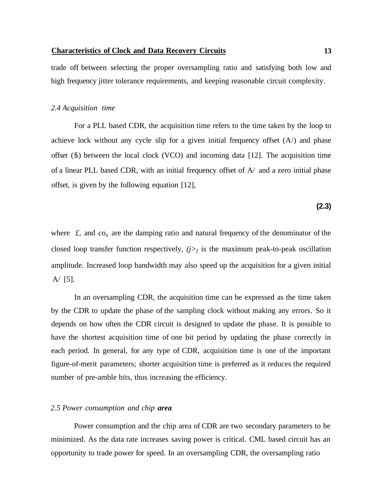#### **Characteristics of Clock and Data Recovery Circuits 13**

trade off between selecting the proper oversampling ratio and satisfying both low and high frequency jitter tolerance requirements, and keeping reasonable circuit complexity.

#### *2.4 Acquisition time*

For a PLL based CDR, the acquisition time refers to the time taken by the loop to achieve lock without any cycle slip for a given initial frequency offset  $(A)$  and phase offset (\$) between the local clock (VCO) and incoming data [12]. The acquisition time of a linear PLL based CDR, with an initial frequency offset of A/ and a zero initial phase offset, is given by the following equation [12],

**(2.3)** 

where  $f$ , and  $co_n$  are the damping ratio and natural frequency of the denominator of the closed loop transfer function respectively,  $(j>_f)$  is the maximum peak-to-peak oscillation amplitude. Increased loop bandwidth may also speed up the acquisition for a given initial  $A / [5]$ .

In an oversampling CDR, the acquisition time can be expressed as the time taken by the CDR to update the phase of the sampling clock without making any errors. So it depends on how often the CDR circuit is designed to update the phase. It is possible to have the shortest acquisition time of one bit period by updating the phase correctly in each period. In general, for any type of CDR, acquisition time is one of the important figure-of-merit parameters; shorter acquisition time is preferred as it reduces the required number of pre-amble bits, thus increasing the efficiency.

#### *2.5 Power consumption and chip area*

Power consumption and the chip area of CDR are two secondary parameters to be minimized. As the data rate increases saving power is critical. CML based circuit has an opportunity to trade power for speed. In an oversampling CDR, the oversampling ratio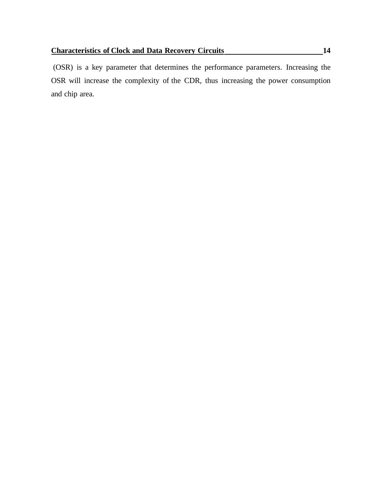(OSR) is a key parameter that determines the performance parameters. Increasing the OSR will increase the complexity of the CDR, thus increasing the power consumption and chip area.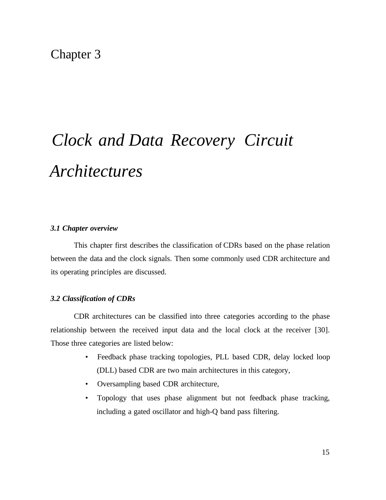### Chapter 3

# *Clock and Data Recovery Circuit Architectures*

#### *3.1 Chapter overview*

This chapter first describes the classification of CDRs based on the phase relation between the data and the clock signals. Then some commonly used CDR architecture and its operating principles are discussed.

#### *3.2 Classification of CDRs*

CDR architectures can be classified into three categories according to the phase relationship between the received input data and the local clock at the receiver [30]. Those three categories are listed below:

- Feedback phase tracking topologies, PLL based CDR, delay locked loop (DLL) based CDR are two main architectures in this category,
- Oversampling based CDR architecture,
- Topology that uses phase alignment but not feedback phase tracking, including a gated oscillator and high-Q band pass filtering.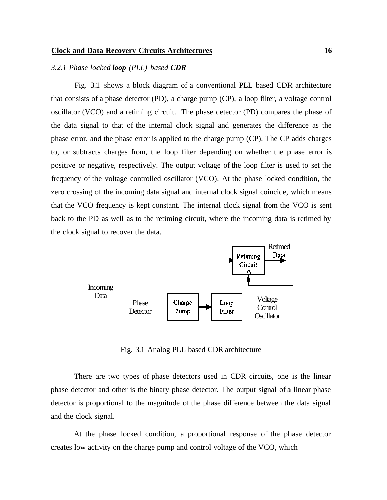#### *3.2.1 Phase locked loop (PLL) based CDR*

Fig. 3.1 shows a block diagram of a conventional PLL based CDR architecture that consists of a phase detector (PD), a charge pump (CP), a loop filter, a voltage control oscillator (VCO) and a retiming circuit. The phase detector (PD) compares the phase of the data signal to that of the internal clock signal and generates the difference as the phase error, and the phase error is applied to the charge pump (CP). The CP adds charges to, or subtracts charges from, the loop filter depending on whether the phase error is positive or negative, respectively. The output voltage of the loop filter is used to set the frequency of the voltage controlled oscillator (VCO). At the phase locked condition, the zero crossing of the incoming data signal and internal clock signal coincide, which means that the VCO frequency is kept constant. The internal clock signal from the VCO is sent back to the PD as well as to the retiming circuit, where the incoming data is retimed by the clock signal to recover the data.



Fig. 3.1 Analog PLL based CDR architecture

There are two types of phase detectors used in CDR circuits, one is the linear phase detector and other is the binary phase detector. The output signal of a linear phase detector is proportional to the magnitude of the phase difference between the data signal and the clock signal.

At the phase locked condition, a proportional response of the phase detector creates low activity on the charge pump and control voltage of the VCO, which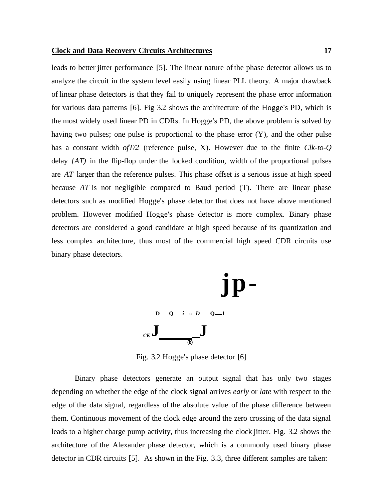leads to better jitter performance [5]. The linear nature of the phase detector allows us to analyze the circuit in the system level easily using linear PLL theory. A major drawback of linear phase detectors is that they fail to uniquely represent the phase error information for various data patterns [6]. Fig 3.2 shows the architecture of the Hogge's PD, which is the most widely used linear PD in CDRs. In Hogge's PD, the above problem is solved by having two pulses; one pulse is proportional to the phase error (Y), and the other pulse has a constant width *ofT/2* (reference pulse, X). However due to the finite *Clk-to-Q*  delay *{AT)* in the flip-flop under the locked condition, width of the proportional pulses are *AT* larger than the reference pulses. This phase offset is a serious issue at high speed because *AT* is not negligible compared to Baud period (T). There are linear phase detectors such as modified Hogge's phase detector that does not have above mentioned problem. However modified Hogge's phase detector is more complex. Binary phase detectors are considered a good candidate at high speed because of its quantization and less complex architecture, thus most of the commercial high speed CDR circuits use binary phase detectors.



Fig. 3.2 Hogge's phase detector [6]

Binary phase detectors generate an output signal that has only two stages depending on whether the edge of the clock signal arrives *early* or *late* with respect to the edge of the data signal, regardless of the absolute value of the phase difference between them. Continuous movement of the clock edge around the zero crossing of the data signal leads to a higher charge pump activity, thus increasing the clock jitter. Fig. 3.2 shows the architecture of the Alexander phase detector, which is a commonly used binary phase detector in CDR circuits [5]. As shown in the Fig. 3.3, three different samples are taken: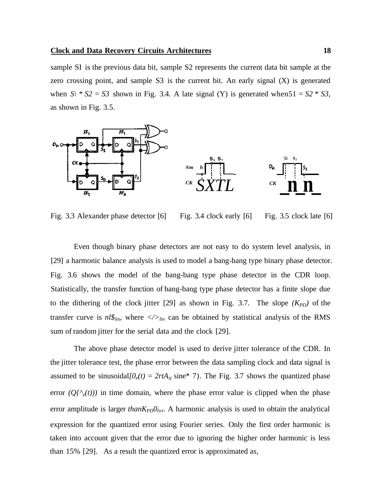sample SI is the previous data bit, sample S2 represents the current data bit sample at the zero crossing point, and sample  $S3$  is the current bit. An early signal  $(X)$  is generated when  $S \mid * S2 = S3$  shown in Fig. 3.4. A late signal (Y) is generated when  $51 = S2 * S3$ , as shown in Fig. 3.5.



Fig. 3.3 Alexander phase detector [6] Fig. 3.4 clock early [6] Fig. 3.5 clock late [6]

Even though binary phase detectors are not easy to do system level analysis, in [29] a harmonic balance analysis is used to model a bang-bang type binary phase detector. Fig. 3.6 shows the model of the bang-bang type phase detector in the CDR loop. Statistically, the transfer function of bang-bang type phase detector has a finite slope due to the dithering of the clock jitter [29] as shown in Fig. 3.7. The slope  $(K_{PD})$  of the transfer curve is  $nl\mathcal{S}_{lin}$ , where  $\langle \rangle_{lin}$  can be obtained by statistical analysis of the RMS sum of random jitter for the serial data and the clock [29].

The above phase detector model is used to derive jitter tolerance of the CDR. In the jitter tolerance test, the phase error between the data sampling clock and data signal is assumed to be sinusoidal $[0_e(t) = 2rtA_{sj}$  sine\* 7). The Fig. 3.7 shows the quantized phase error  $(Q<sup>{\prime</sup>_{e}(t))$  in time domain, where the phase error value is clipped when the phase error amplitude is larger than  $K_{PD}O_{liri}$ . A harmonic analysis is used to obtain the analytical expression for the quantized error using Fourier series. Only the first order harmonic is taken into account given that the error due to ignoring the higher order harmonic is less than 15% [29]. As a result the quantized error is approximated as,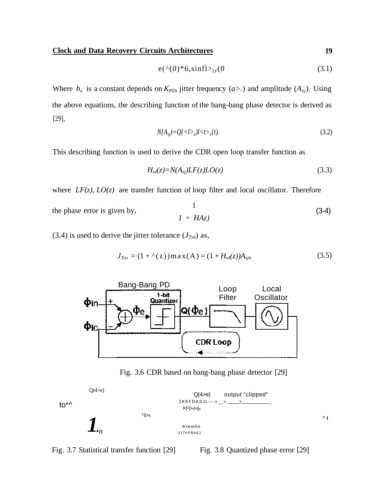$$
e(\wedge(0)^*6, \sinfl>_{jy}(0 \qquad (3.1)
$$

Where  $b_x$  is a constant depends on  $K_{PD}$ , jitter frequency (*a*>.) and amplitude ( $A_{sj}$ ). Using the above equations, the describing function of the bang-bang phase detector is derived as [29],

$$
N[A_{sj}] = Q\langle \langle l \rangle_e | l \langle t \rangle_e | t \rangle. \tag{3.2}
$$

This describing function is used to derive the CDR open loop transfer function as

$$
H_{ol}(z) = N(A_{sj})LF(z)LO(z)
$$
\n(3.3)

where  $LF(z)$ ,  $LO(z)$  are transfer function of loop filter and local oscillator. Therefore the phase error is given by,  $1$ *1 + HAz)*  (3-4)

(3.4) is used to derive the jitter tolerance  $(J_{Tol})$  as,

$$
J_{To} = (1 + \Lambda(z)) \max(A) = (1 + H_{ol}(z)) A_{\text{sin}}
$$
 (3.5)



Fig. 3.6 CDR based on bang-bang phase detector [29]



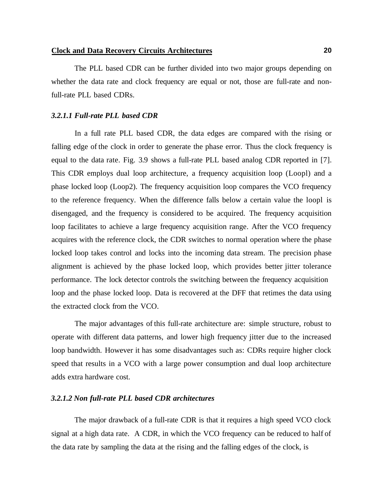The PLL based CDR can be further divided into two major groups depending on whether the data rate and clock frequency are equal or not, those are full-rate and nonfull-rate PLL based CDRs.

#### *3.2.1.1 Full-rate PLL based CDR*

In a full rate PLL based CDR, the data edges are compared with the rising or falling edge of the clock in order to generate the phase error. Thus the clock frequency is equal to the data rate. Fig. 3.9 shows a full-rate PLL based analog CDR reported in [7]. This CDR employs dual loop architecture, a frequency acquisition loop (Loopl) and a phase locked loop (Loop2). The frequency acquisition loop compares the VCO frequency to the reference frequency. When the difference falls below a certain value the loopl is disengaged, and the frequency is considered to be acquired. The frequency acquisition loop facilitates to achieve a large frequency acquisition range. After the VCO frequency acquires with the reference clock, the CDR switches to normal operation where the phase locked loop takes control and locks into the incoming data stream. The precision phase alignment is achieved by the phase locked loop, which provides better jitter tolerance performance. The lock detector controls the switching between the frequency acquisition loop and the phase locked loop. Data is recovered at the DFF that retimes the data using the extracted clock from the VCO.

The major advantages of this full-rate architecture are: simple structure, robust to operate with different data patterns, and lower high frequency jitter due to the increased loop bandwidth. However it has some disadvantages such as: CDRs require higher clock speed that results in a VCO with a large power consumption and dual loop architecture adds extra hardware cost.

#### *3.2.1.2 Non full-rate PLL based CDR architectures*

The major drawback of a full-rate CDR is that it requires a high speed VCO clock signal at a high data rate. A CDR, in which the VCO frequency can be reduced to half of the data rate by sampling the data at the rising and the falling edges of the clock, is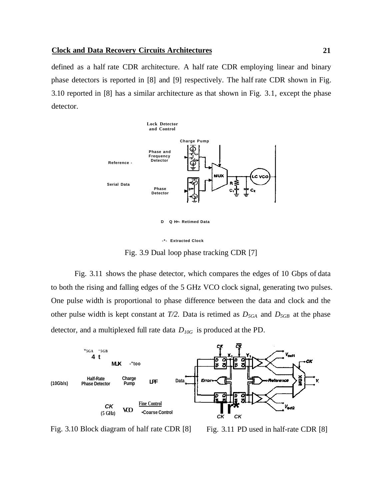defined as a half rate CDR architecture. A half rate CDR employing linear and binary phase detectors is reported in [8] and [9] respectively. The half rate CDR shown in Fig. 3.10 reported in [8] has a similar architecture as that shown in Fig. 3.1, except the phase detector.





Fig. 3.11 shows the phase detector, which compares the edges of 10 Gbps of data to both the rising and falling edges of the 5 GHz VCO clock signal, generating two pulses. One pulse width is proportional to phase difference between the data and clock and the other pulse width is kept constant at *T/2.* Data is retimed as *D5GA* and *D5GB* at the phase detector, and a multiplexed full rate data *D10G* is produced at the PD.



Fig. 3.10 Block diagram of half rate CDR [8]

Fig. 3.11 PD used in half-rate CDR [8]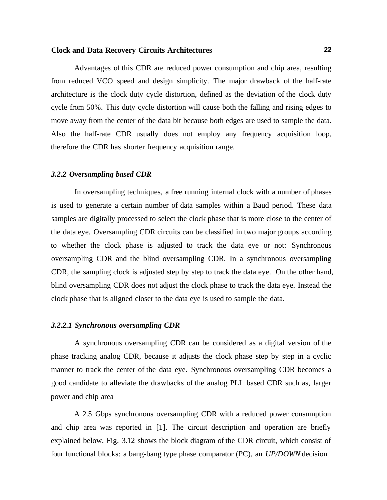Advantages of this CDR are reduced power consumption and chip area, resulting from reduced VCO speed and design simplicity. The major drawback of the half-rate architecture is the clock duty cycle distortion, defined as the deviation of the clock duty cycle from 50%. This duty cycle distortion will cause both the falling and rising edges to move away from the center of the data bit because both edges are used to sample the data. Also the half-rate CDR usually does not employ any frequency acquisition loop, therefore the CDR has shorter frequency acquisition range.

#### *3.2.2 Oversampling based CDR*

In oversampling techniques, a free running internal clock with a number of phases is used to generate a certain number of data samples within a Baud period. These data samples are digitally processed to select the clock phase that is more close to the center of the data eye. Oversampling CDR circuits can be classified in two major groups according to whether the clock phase is adjusted to track the data eye or not: Synchronous oversampling CDR and the blind oversampling CDR. In a synchronous oversampling CDR, the sampling clock is adjusted step by step to track the data eye. On the other hand, blind oversampling CDR does not adjust the clock phase to track the data eye. Instead the clock phase that is aligned closer to the data eye is used to sample the data.

#### *3.2.2.1 Synchronous oversampling CDR*

A synchronous oversampling CDR can be considered as a digital version of the phase tracking analog CDR, because it adjusts the clock phase step by step in a cyclic manner to track the center of the data eye. Synchronous oversampling CDR becomes a good candidate to alleviate the drawbacks of the analog PLL based CDR such as, larger power and chip area

A 2.5 Gbps synchronous oversampling CDR with a reduced power consumption and chip area was reported in [1]. The circuit description and operation are briefly explained below. Fig. 3.12 shows the block diagram of the CDR circuit, which consist of four functional blocks: a bang-bang type phase comparator (PC), an *UP/DOWN* decision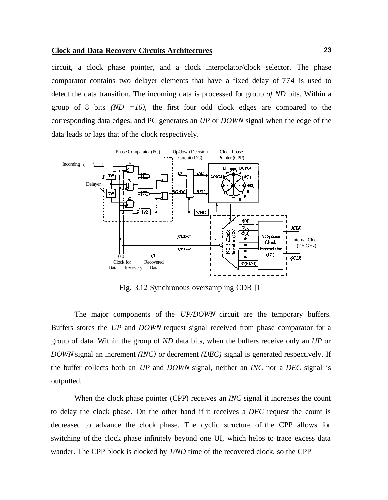circuit, a clock phase pointer, and a clock interpolator/clock selector. The phase comparator contains two delayer elements that have a fixed delay of 774 is used to detect the data transition. The incoming data is processed for group *of ND* bits. Within a group of 8 bits *(ND =16),* the first four odd clock edges are compared to the corresponding data edges, and PC generates an *UP* or *DOWN* signal when the edge of the data leads or lags that of the clock respectively.



Fig. 3.12 Synchronous oversampling CDR [1]

The major components of the *UP/DOWN* circuit are the temporary buffers. Buffers stores the *UP* and *DOWN* request signal received from phase comparator for a group of data. Within the group of *ND* data bits, when the buffers receive only an *UP* or *DOWN* signal an increment *(INC)* or decrement *(DEC)* signal is generated respectively. If the buffer collects both an *UP* and *DOWN* signal, neither an *INC* nor a *DEC* signal is outputted.

When the clock phase pointer (CPP) receives an *INC* signal it increases the count to delay the clock phase. On the other hand if it receives a *DEC* request the count is decreased to advance the clock phase. The cyclic structure of the CPP allows for switching of the clock phase infinitely beyond one UI, which helps to trace excess data wander. The CPP block is clocked by *1/ND* time of the recovered clock, so the CPP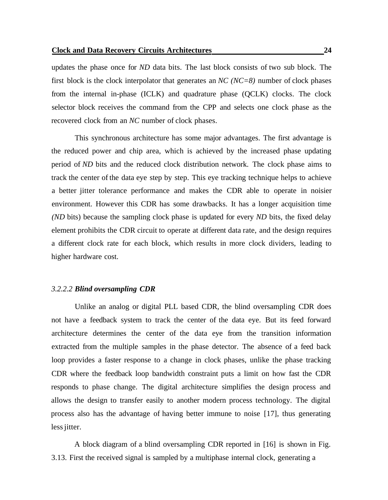updates the phase once for *ND* data bits. The last block consists of two sub block. The first block is the clock interpolator that generates an *NC (NC=8)* number of clock phases from the internal in-phase (ICLK) and quadrature phase (QCLK) clocks. The clock selector block receives the command from the CPP and selects one clock phase as the recovered clock from an *NC* number of clock phases.

This synchronous architecture has some major advantages. The first advantage is the reduced power and chip area, which is achieved by the increased phase updating period of *ND* bits and the reduced clock distribution network. The clock phase aims to track the center of the data eye step by step. This eye tracking technique helps to achieve a better jitter tolerance performance and makes the CDR able to operate in noisier environment. However this CDR has some drawbacks. It has a longer acquisition time *(ND* bits) because the sampling clock phase is updated for every *ND* bits, the fixed delay element prohibits the CDR circuit to operate at different data rate, and the design requires a different clock rate for each block, which results in more clock dividers, leading to higher hardware cost.

#### *3.2.2.2 Blind oversampling CDR*

Unlike an analog or digital PLL based CDR, the blind oversampling CDR does not have a feedback system to track the center of the data eye. But its feed forward architecture determines the center of the data eye from the transition information extracted from the multiple samples in the phase detector. The absence of a feed back loop provides a faster response to a change in clock phases, unlike the phase tracking CDR where the feedback loop bandwidth constraint puts a limit on how fast the CDR responds to phase change. The digital architecture simplifies the design process and allows the design to transfer easily to another modern process technology. The digital process also has the advantage of having better immune to noise [17], thus generating less jitter.

A block diagram of a blind oversampling CDR reported in [16] is shown in Fig. 3.13. First the received signal is sampled by a multiphase internal clock, generating a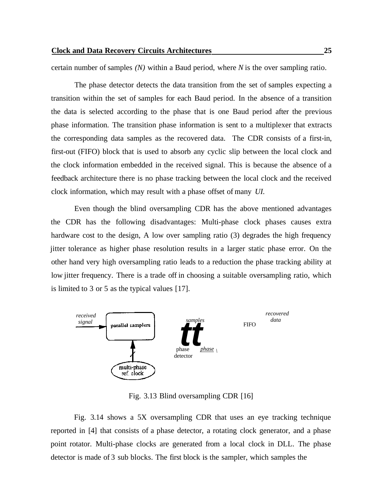certain number of samples *(N)* within a Baud period, where *N* is the over sampling ratio.

The phase detector detects the data transition from the set of samples expecting a transition within the set of samples for each Baud period. In the absence of a transition the data is selected according to the phase that is one Baud period after the previous phase information. The transition phase information is sent to a multiplexer that extracts the corresponding data samples as the recovered data. The CDR consists of a first-in, first-out (FIFO) block that is used to absorb any cyclic slip between the local clock and the clock information embedded in the received signal. This is because the absence of a feedback architecture there is no phase tracking between the local clock and the received clock information, which may result with a phase offset of many *UI.* 

Even though the blind oversampling CDR has the above mentioned advantages the CDR has the following disadvantages: Multi-phase clock phases causes extra hardware cost to the design, A low over sampling ratio (3) degrades the high frequency jitter tolerance as higher phase resolution results in a larger static phase error. On the other hand very high oversampling ratio leads to a reduction the phase tracking ability at low jitter frequency. There is a trade off in choosing a suitable oversampling ratio, which is limited to 3 or 5 as the typical values [17].



Fig. 3.13 Blind oversampling CDR [16]

Fig. 3.14 shows a 5X oversampling CDR that uses an eye tracking technique reported in [4] that consists of a phase detector, a rotating clock generator, and a phase point rotator. Multi-phase clocks are generated from a local clock in DLL. The phase detector is made of 3 sub blocks. The first block is the sampler, which samples the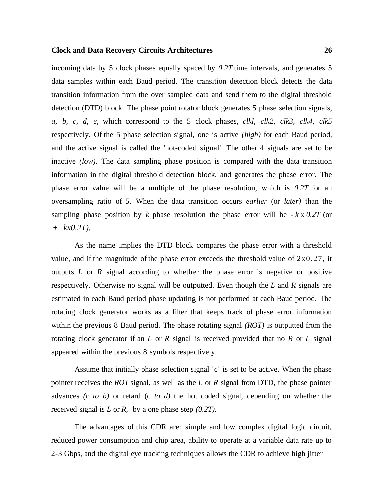incoming data by 5 clock phases equally spaced by *0.2T* time intervals, and generates 5 data samples within each Baud period. The transition detection block detects the data transition information from the over sampled data and send them to the digital threshold detection (DTD) block. The phase point rotator block generates 5 phase selection signals, *a, b, c, d, e,* which correspond to the 5 clock phases, *clkl, clk2, clk3, clk4, clk5*  respectively. Of the 5 phase selection signal, one is active *{high)* for each Baud period, and the active signal is called the 'hot-coded signal'. The other 4 signals are set to be inactive *(low)*. The data sampling phase position is compared with the data transition information in the digital threshold detection block, and generates the phase error. The phase error value will be a multiple of the phase resolution, which is *0.2T* for an oversampling ratio of 5. When the data transition occurs *earlier* (or *later)* than the sampling phase position by  $k$  phase resolution the phase error will be  $-k \times 0.2T$  (or *+ kx0.2T).* 

As the name implies the DTD block compares the phase error with a threshold value, and if the magnitude of the phase error exceeds the threshold value of  $2x0.27$ , it outputs *L* or *R* signal according to whether the phase error is negative or positive respectively. Otherwise no signal will be outputted. Even though the *L* and *R* signals are estimated in each Baud period phase updating is not performed at each Baud period. The rotating clock generator works as a filter that keeps track of phase error information within the previous 8 Baud period. The phase rotating signal *(ROT)* is outputted from the rotating clock generator if an *L* or *R* signal is received provided that no *R* or *L* signal appeared within the previous 8 symbols respectively.

Assume that initially phase selection signal 'c' is set to be active. When the phase pointer receives the *ROT* signal, as well as the *L* or *R* signal from DTD, the phase pointer advances *(c to b)* or retard (c *to d)* the hot coded signal, depending on whether the received signal is *L* or *R,* by a one phase step *(0.2T).* 

The advantages of this CDR are: simple and low complex digital logic circuit, reduced power consumption and chip area, ability to operate at a variable data rate up to 2-3 Gbps, and the digital eye tracking techniques allows the CDR to achieve high jitter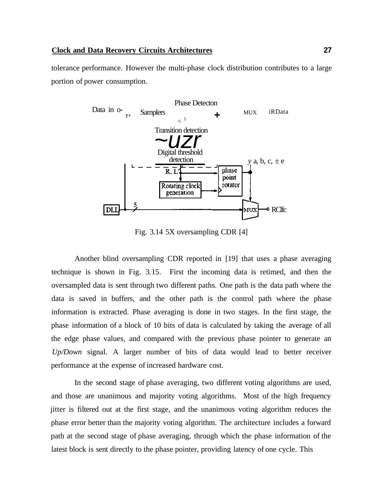tolerance performance. However the multi-phase clock distribution contributes to a large portion of power consumption.



Fig. 3.14 5X oversampling CDR [4]

Another blind oversampling CDR reported in [19] that uses a phase averaging technique is shown in Fig. 3.15. First the incoming data is retimed, and then the oversampled data is sent through two different paths. One path is the data path where the data is saved in buffers, and the other path is the control path where the phase information is extracted. Phase averaging is done in two stages. In the first stage, the phase information of a block of 10 bits of data is calculated by taking the average of all the edge phase values, and compared with the previous phase pointer to generate an *Up/Down* signal. A larger number of bits of data would lead to better receiver performance at the expense of increased hardware cost.

In the second stage of phase averaging, two different voting algorithms are used, and those are unanimous and majority voting algorithms. Most of the high frequency jitter is filtered out at the first stage, and the unanimous voting algorithm reduces the phase error better than the majority voting algorithm. The architecture includes a forward path at the second stage of phase averaging, through which the phase information of the latest block is sent directly to the phase pointer, providing latency of one cycle. This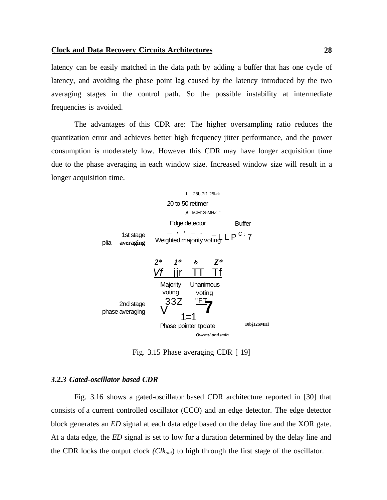latency can be easily matched in the data path by adding a buffer that has one cycle of latency, and avoiding the phase point lag caused by the latency introduced by the two averaging stages in the control path. So the possible instability at intermediate frequencies is avoided.

The advantages of this CDR are: The higher oversampling ratio reduces the quantization error and achieves better high frequency jitter performance, and the power consumption is moderately low. However this CDR may have longer acquisition time due to the phase averaging in each window size. Increased window size will result in a longer acquisition time.



Fig. 3.15 Phase averaging CDR [ 19]

#### *3.2.3 Gated-oscillator based CDR*

Fig. 3.16 shows a gated-oscillator based CDR architecture reported in [30] that consists of a current controlled oscillator (CCO) and an edge detector. The edge detector block generates an *ED* signal at each data edge based on the delay line and the XOR gate. At a data edge, the *ED* signal is set to low for a duration determined by the delay line and the CDR locks the output clock *(Clkout*) to high through the first stage of the oscillator.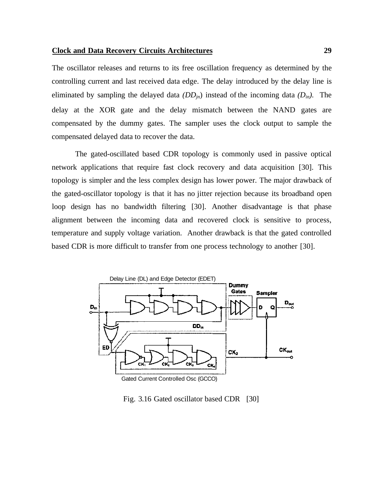The oscillator releases and returns to its free oscillation frequency as determined by the controlling current and last received data edge. The delay introduced by the delay line is eliminated by sampling the delayed data *(DDjn*) instead of the incoming data *(Din).* The delay at the XOR gate and the delay mismatch between the NAND gates are compensated by the dummy gates. The sampler uses the clock output to sample the compensated delayed data to recover the data.

The gated-oscillated based CDR topology is commonly used in passive optical network applications that require fast clock recovery and data acquisition [30]. This topology is simpler and the less complex design has lower power. The major drawback of the gated-oscillator topology is that it has no jitter rejection because its broadband open loop design has no bandwidth filtering [30]. Another disadvantage is that phase alignment between the incoming data and recovered clock is sensitive to process, temperature and supply voltage variation. Another drawback is that the gated controlled based CDR is more difficult to transfer from one process technology to another [30].



Fig. 3.16 Gated oscillator based CDR [30]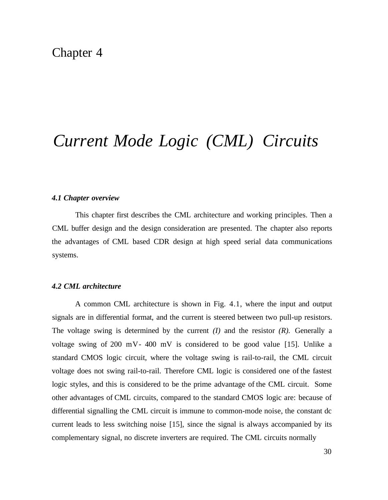### Chapter 4

# *Current Mode Logic (CML) Circuits*

#### *4.1 Chapter overview*

This chapter first describes the CML architecture and working principles. Then a CML buffer design and the design consideration are presented. The chapter also reports the advantages of CML based CDR design at high speed serial data communications systems.

#### *4.2 CML architecture*

A common CML architecture is shown in Fig. 4.1, where the input and output signals are in differential format, and the current is steered between two pull-up resistors. The voltage swing is determined by the current *(I)* and the resistor *(R).* Generally a voltage swing of 200 mV- 400 mV is considered to be good value [15]. Unlike a standard CMOS logic circuit, where the voltage swing is rail-to-rail, the CML circuit voltage does not swing rail-to-rail. Therefore CML logic is considered one of the fastest logic styles, and this is considered to be the prime advantage of the CML circuit. Some other advantages of CML circuits, compared to the standard CMOS logic are: because of differential signalling the CML circuit is immune to common-mode noise, the constant dc current leads to less switching noise [15], since the signal is always accompanied by its complementary signal, no discrete inverters are required. The CML circuits normally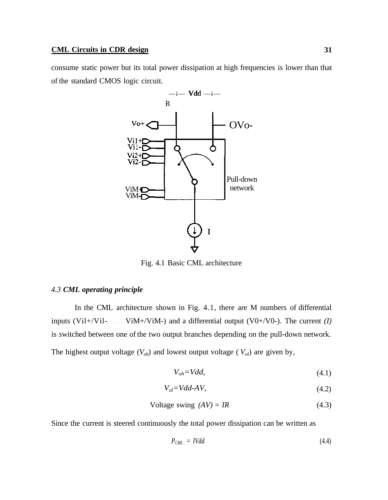#### **CML Circuits in CDR design 31**

consume static power but its total power dissipation at high frequencies is lower than that of the standard CMOS logic circuit.



Fig. 4.1 Basic CML architecture

#### *4.3 CML operating principle*

In the CML architecture shown in Fig. 4.1, there are M numbers of differential inputs (Vil+/Vil- ViM+/ViM-) and a differential output (V0+/V0-). The current *(I)*  is switched between one of the two output branches depending on the pull-down network. The highest output voltage  $(V_{oh})$  and lowest output voltage  $(V_{ol})$  are given by,

$$
f_{\rm{max}}(x)=\frac{1}{2}x^2+\frac{1}{2}x^2+\frac{1}{2}x^2+\frac{1}{2}x^2+\frac{1}{2}x^2+\frac{1}{2}x^2+\frac{1}{2}x^2+\frac{1}{2}x^2+\frac{1}{2}x^2+\frac{1}{2}x^2+\frac{1}{2}x^2+\frac{1}{2}x^2+\frac{1}{2}x^2+\frac{1}{2}x^2+\frac{1}{2}x^2+\frac{1}{2}x^2+\frac{1}{2}x^2+\frac{1}{2}x^2+\frac{1}{2}x^2+\frac{1}{2}x^2+\frac{1}{2}x^2+\frac{1}{2}x^2+\frac{1}{2}x^2+\frac{1}{2}x^2+\frac{1}{2}x^2+\frac{1}{2}x^2+\frac{1}{2}x^2+\frac{1}{2}x^2+\frac{1}{2}x^2+\frac{1}{2}x^2+\frac{1}{2}x^2+\frac{1}{2}x^2+\frac{1}{2}x^2+\frac{1}{2}x^2+\frac{1}{2}x^2+\frac{1}{2}x^2+\frac{1}{2}x^2+\frac{1}{2}x^2+\frac{1}{2}x^2+\frac{1}{2}x^2+\frac{1}{2}x^2+\frac{1}{2}x^2+\frac{1}{2}x^2+\frac{1}{2}x^2+\frac{1}{2}x^2+\frac{1}{2}x^2+\frac{1}{2}x^2+\frac{1}{2}x^2+\frac{1}{2}x^2+\frac{1}{2}x^2+\frac{1}{2}x^2+\frac{1}{2}x^2+\frac{1}{2}x^2+\frac{1}{2}x^2+\frac{1}{2}x^2+\frac{1}{2}x^2+\frac{1}{2}x^2+\frac{1}{2}x^2+\frac{1}{2}x^2+\frac{1}{2}x^2+\frac{1}{2}x^2+\frac{1}{2}x^2+\frac{1}{2}x^2+\frac{1}{2}x^2+\frac{1}{2}x^2+\frac{1}{2}x^2+\frac{1}{2}x^2+\frac{1}{2}x^2+\frac{1}{2}x^2+\frac{1}{2}x^2+\frac{1}{2}x^2+\frac{1}{2}x^2+\frac{1}{2}x^2+\frac{1}{2}x^2+\frac{1}{2}x^
$$

$$
V_{oh} = Vdd,
$$
\n<sup>(4.1)</sup>

$$
V_{ol} = Vdd-AV,\tag{4.2}
$$

$$
Voltage swing (AV) = IR
$$
\n(4.3)

Since the current is steered continuously the total power dissipation can be written as

$$
P_{CML} = IVdd \tag{4.4}
$$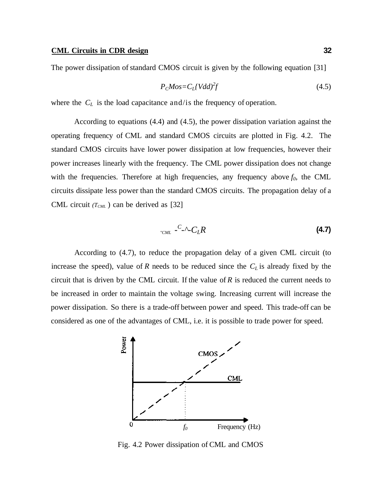#### **CML Circuits in CDR design 32**

The power dissipation of standard CMOS circuit is given by the following equation [31]

$$
P_{C}Mos = C_{L} (Vdd)^{2} f \tag{4.5}
$$

where the  $C_L$  is the load capacitance and/is the frequency of operation.

According to equations (4.4) and (4.5), the power dissipation variation against the operating frequency of CML and standard CMOS circuits are plotted in Fig. 4.2. The standard CMOS circuits have lower power dissipation at low frequencies, however their power increases linearly with the frequency. The CML power dissipation does not change with the frequencies. Therefore at high frequencies, any frequency above  $f_0$ , the CML circuits dissipate less power than the standard CMOS circuits. The propagation delay of a CML circuit  $(T_{CML})$  can be derived as [32]

$$
C_{\text{CML}} \sim C_{\text{L}} R \tag{4.7}
$$

According to (4.7), to reduce the propagation delay of a given CML circuit (to increase the speed), value of *R* needs to be reduced since the *CL* is already fixed by the circuit that is driven by the CML circuit. If the value of *R* is reduced the current needs to be increased in order to maintain the voltage swing. Increasing current will increase the power dissipation. So there is a trade-off between power and speed. This trade-off can be considered as one of the advantages of CML, i.e. it is possible to trade power for speed.



Fig. 4.2 Power dissipation of CML and CMOS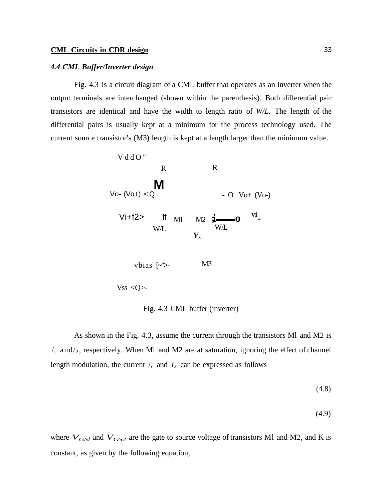#### *4.4 CML Buffer/Inverter design*

Fig. 4.3 is a circuit diagram of a CML buffer that operates as an inverter when the output terminals are interchanged (shown within the parenthesis). Both differential pair transistors are identical and have the width to length ratio of *W/L.* The length of the differential pairs is usually kept at a minimum for the process technology used. The current source transistor's (M3) length is kept at a length larger than the minimum value.



Vss <Q>-

Fig. 4.3 CML buffer (inverter)

As shown in the Fig. 4.3, assume the current through the transistors Ml and M2 is  $/$ , and $/$ <sub>2</sub>, respectively. When Ml and M2 are at saturation, ignoring the effect of channel length modulation, the current  $\ell$ , and  $I_2$  can be expressed as follows

(4.8)

$$
(4.9)
$$

where  $V_{GSl}$  and  $V_{GS2}$  are the gate to source voltage of transistors Ml and M2, and K is constant, as given by the following equation,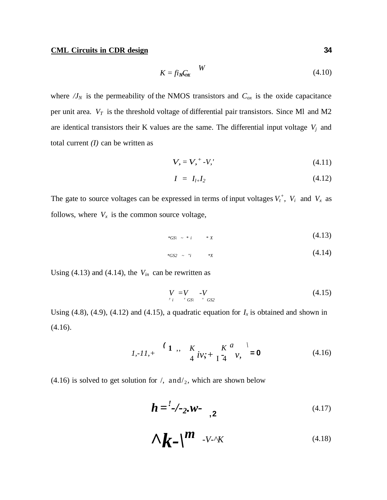#### **CML Circuits in CDR design 34**

$$
K = f i_N C_N \qquad W \tag{4.10}
$$

where  $/J_N$  is the permeability of the NMOS transistors and  $C_{ox}$  is the oxide capacitance per unit area. *VT* is the threshold voltage of differential pair transistors. Since Ml and M2 are identical transistors their K values are the same. The differential input voltage  $V_j$  and total current *(I)* can be written as

$$
V_{1} = V_{1}^{+} - V_{1}' \tag{4.11}
$$

$$
I = I_{l+1}I_2 \tag{4.12}
$$

The gate to source voltages can be expressed in terms of input voltages  $V_t^+$ ,  $V_i$  and  $V_x$  as follows, where  $V_x$  is the common source voltage,

$$
*_{GS} \sim *i \qquad *X \tag{4.13}
$$

$$
*_{GS2} \sim "i \qquad *X \tag{4.14}
$$

Using (4.13) and (4.14), the  $V_{in}$  can be rewritten as

$$
V = V - V \tag{4.15}
$$

Using (4.8), (4.9), (4.12) and (4.15), a quadratic equation for  $I_x$  is obtained and shown in (4.16).

$$
I, -1I, + \begin{pmatrix} 1 & , & K \\ 1 & , & K \\ 4 & iv; + \frac{1}{4} & v \end{pmatrix} = 0
$$
 (4.16)

 $(4.16)$  is solved to get solution for  $\ell$ , and $\ell_2$ , which are shown below

$$
h = -\frac{1}{2}W - \frac{1}{2}W
$$
 (4.17)

$$
\Lambda_{K-}^m \quad V^{\Lambda} \tag{4.18}
$$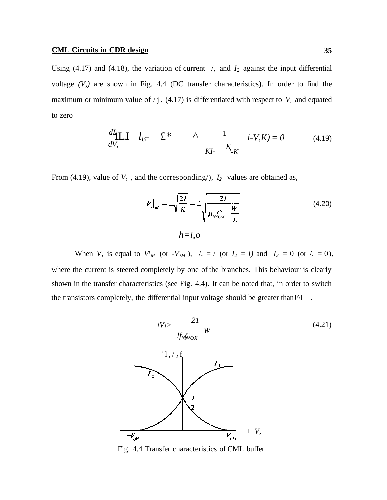Using (4.17) and (4.18), the variation of current  $\ell$ , and  $I_2$  against the input differential voltage *(V,)* are shown in Fig. 4.4 (DC transfer characteristics). In order to find the maximum or minimum value of  $/j$ , (4.17) is differentiated with respect to  $V_i$  and equated to zero

$$
\frac{dI_{\text{IL,I}}}{dV,} \quad l_B \quad \mathbf{\pounds}^* \qquad \wedge \qquad \qquad \frac{1}{K_{-K}} \quad i - V, K) = 0 \tag{4.19}
$$

From (4.19), value of  $V_t$ , and the corresponding/),  $I_2$  values are obtained as,

$$
V_i|_M = \pm \sqrt{\frac{2I}{K}} = \pm \sqrt{\frac{2I}{\mu_N C_X} \frac{W}{L}}
$$
(4.20)  

$$
h = i, o
$$

When *V*, is equal to  $V_M$  (or  $-V_M$ ),  $\ell = \ell$  (or  $I_2 = I$ ) and  $I_2 = 0$  (or  $\ell = 0$ ), where the current is steered completely by one of the branches. This behaviour is clearly shown in the transfer characteristics (see Fig. 4.4). It can be noted that, in order to switch the transistors completely, the differential input voltage should be greater than J<sup>^I</sup> .



Fig. 4.4 Transfer characteristics of CML buffer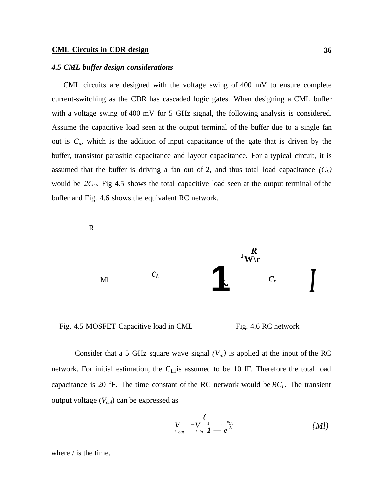#### *4.5 CML buffer design considerations*

CML circuits are designed with the voltage swing of 400 mV to ensure complete current-switching as the CDR has cascaded logic gates. When designing a CML buffer with a voltage swing of 400 mV for 5 GHz signal, the following analysis is considered. Assume the capacitive load seen at the output terminal of the buffer due to a single fan out is  $C_w$  which is the addition of input capacitance of the gate that is driven by the buffer, transistor parasitic capacitance and layout capacitance. For a typical circuit, it is assumed that the buffer is driving a fan out of 2, and thus total load capacitance  $(C_L)$ would be *2CU*. Fig 4.5 shows the total capacitive load seen at the output terminal of the buffer and Fig. 4.6 shows the equivalent RC network.

R



Fig. 4.5 MOSFET Capacitive load in CML Fig. 4.6 RC network

Consider that a 5 GHz square wave signal  $(V_{in})$  is applied at the input of the RC network. For initial estimation, the  $C_{L1}$  is assumed to be 10 fF. Therefore the total load capacitance is 20 fF. The time constant of the RC network would be *RCL.* The transient output voltage (*Voul*) can be expressed as

$$
V_{\text{out}} = V_{\text{in}} \frac{1}{1 - e^{L}} \int_{0}^{R} E_{\text{out}} \qquad (M1)
$$

where / is the time.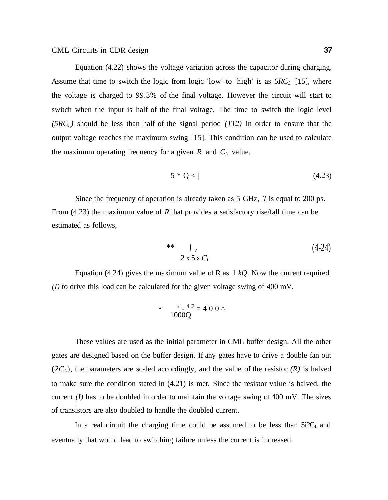Equation (4.22) shows the voltage variation across the capacitor during charging. Assume that time to switch the logic from logic 'low' to 'high' is as *5RCL* [15], where the voltage is charged to 99.3% of the final voltage. However the circuit will start to switch when the input is half of the final voltage. The time to switch the logic level *(5RCL)* should be less than half of the signal period *(T12)* in order to ensure that the output voltage reaches the maximum swing [15]. This condition can be used to calculate the maximum operating frequency for a given *R* and *CL* value.

$$
5 \times Q < | \tag{4.23}
$$

Since the frequency of operation is already taken as 5 GHz, *T* is equal to 200 ps. From (4.23) the maximum value of *R* that provides a satisfactory rise/fall time can be estimated as follows,

$$
** \t\t Ir\t\t 2 \t x 5 \t x CL\t\t (4-24)
$$

Equation (4.24) gives the maximum value of R as 1 *kQ*. Now the current required *(I)* to drive this load can be calculated for the given voltage swing of 400 mV.

• 
$$
^{\circ} - ^{4}F = 400^{\circ}
$$
  
1000Q

These values are used as the initial parameter in CML buffer design. All the other gates are designed based on the buffer design. If any gates have to drive a double fan out  $(2C_L)$ , the parameters are scaled accordingly, and the value of the resistor  $(R)$  is halved to make sure the condition stated in (4.21) is met. Since the resistor value is halved, the current *(I)* has to be doubled in order to maintain the voltage swing of 400 mV. The sizes of transistors are also doubled to handle the doubled current.

In a real circuit the charging time could be assumed to be less than  $5i$ ? $C<sub>L</sub>$  and eventually that would lead to switching failure unless the current is increased.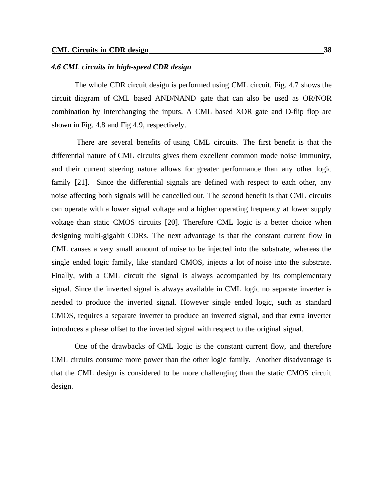#### *4.6 CML circuits in high-speed CDR design*

The whole CDR circuit design is performed using CML circuit. Fig. 4.7 shows the circuit diagram of CML based AND/NAND gate that can also be used as OR/NOR combination by interchanging the inputs. A CML based XOR gate and D-flip flop are shown in Fig. 4.8 and Fig 4.9, respectively.

There are several benefits of using CML circuits. The first benefit is that the differential nature of CML circuits gives them excellent common mode noise immunity, and their current steering nature allows for greater performance than any other logic family [21]. Since the differential signals are defined with respect to each other, any noise affecting both signals will be cancelled out. The second benefit is that CML circuits can operate with a lower signal voltage and a higher operating frequency at lower supply voltage than static CMOS circuits [20]. Therefore CML logic is a better choice when designing multi-gigabit CDRs. The next advantage is that the constant current flow in CML causes a very small amount of noise to be injected into the substrate, whereas the single ended logic family, like standard CMOS, injects a lot of noise into the substrate. Finally, with a CML circuit the signal is always accompanied by its complementary signal. Since the inverted signal is always available in CML logic no separate inverter is needed to produce the inverted signal. However single ended logic, such as standard CMOS, requires a separate inverter to produce an inverted signal, and that extra inverter introduces a phase offset to the inverted signal with respect to the original signal.

One of the drawbacks of CML logic is the constant current flow, and therefore CML circuits consume more power than the other logic family. Another disadvantage is that the CML design is considered to be more challenging than the static CMOS circuit design.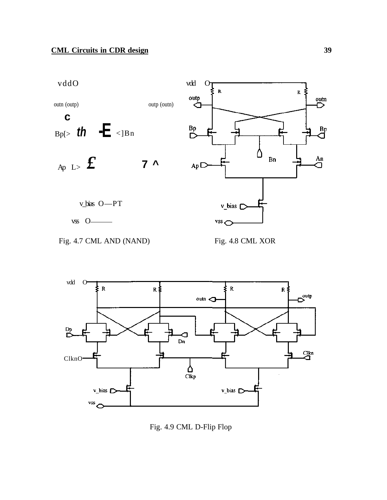



Fig. 4.9 CML D-Flip Flop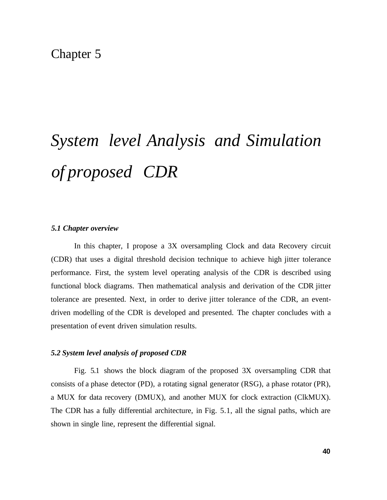## Chapter 5

# *System level Analysis and Simulation of proposed CDR*

#### *5.1 Chapter overview*

In this chapter, I propose a 3X oversampling Clock and data Recovery circuit (CDR) that uses a digital threshold decision technique to achieve high jitter tolerance performance. First, the system level operating analysis of the CDR is described using functional block diagrams. Then mathematical analysis and derivation of the CDR jitter tolerance are presented. Next, in order to derive jitter tolerance of the CDR, an eventdriven modelling of the CDR is developed and presented. The chapter concludes with a presentation of event driven simulation results.

#### *5.2 System level analysis of proposed CDR*

Fig. 5.1 shows the block diagram of the proposed 3X oversampling CDR that consists of a phase detector (PD), a rotating signal generator (RSG), a phase rotator (PR), a MUX for data recovery (DMUX), and another MUX for clock extraction (ClkMUX). The CDR has a fully differential architecture, in Fig. 5.1, all the signal paths, which are shown in single line, represent the differential signal.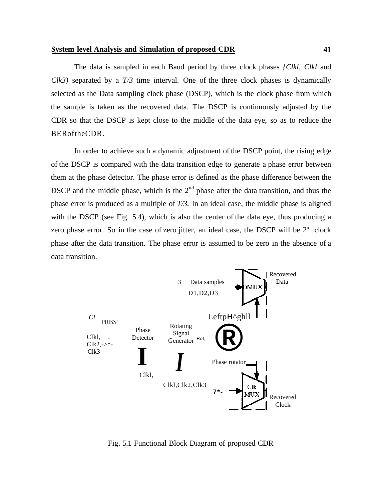#### **System level Analysis and Simulation of proposed CDR 41**

The data is sampled in each Baud period by three clock phases *{Clkl, Clkl* and *Clk3)* separated by a *T/3* time interval. One of the three clock phases is dynamically selected as the Data sampling clock phase (DSCP), which is the clock phase from which the sample is taken as the recovered data. The DSCP is continuously adjusted by the CDR so that the DSCP is kept close to the middle of the data eye, so as to reduce the BERoftheCDR.

In order to achieve such a dynamic adjustment of the DSCP point, the rising edge of the DSCP is compared with the data transition edge to generate a phase error between them at the phase detector. The phase error is defined as the phase difference between the DSCP and the middle phase, which is the  $2<sup>nd</sup>$  phase after the data transition, and thus the phase error is produced as a multiple of *T/3.* In an ideal case, the middle phase is aligned with the DSCP (see Fig. 5.4), which is also the center of the data eye, thus producing a zero phase error. So in the case of zero jitter, an ideal case, the DSCP will be  $2<sup>n</sup>$  clock phase after the data transition. The phase error is assumed to be zero in the absence of a data transition.



Fig. 5.1 Functional Block Diagram of proposed CDR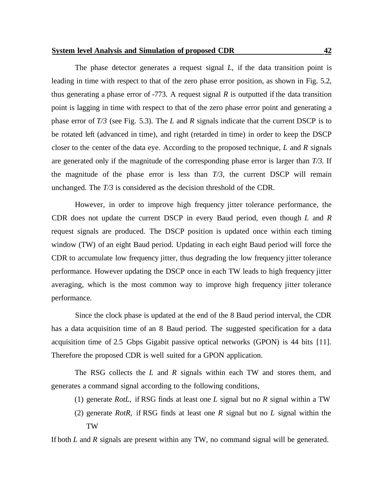The phase detector generates a request signal *L,* if the data transition point is leading in time with respect to that of the zero phase error position, as shown in Fig. 5.2, thus generating a phase error of  $-773$ . A request signal R is outputted if the data transition point is lagging in time with respect to that of the zero phase error point and generating a phase error of *T/3* (see Fig. 5.3). The *L* and *R* signals indicate that the current DSCP is to be rotated left (advanced in time), and right (retarded in time) in order to keep the DSCP closer to the center of the data eye. According to the proposed technique, *L* and *R* signals are generated only if the magnitude of the corresponding phase error is larger than *T/3.* If the magnitude of the phase error is less than *T/3,* the current DSCP will remain unchanged. The *T/3* is considered as the decision threshold of the CDR.

However, in order to improve high frequency jitter tolerance performance, the CDR does not update the current DSCP in every Baud period, even though *L* and *R*  request signals are produced. The DSCP position is updated once within each timing window (TW) of an eight Baud period. Updating in each eight Baud period will force the CDR to accumulate low frequency jitter, thus degrading the low frequency jitter tolerance performance. However updating the DSCP once in each TW leads to high frequency jitter averaging, which is the most common way to improve high frequency jitter tolerance performance.

Since the clock phase is updated at the end of the 8 Baud period interval, the CDR has a data acquisition time of an 8 Baud period. The suggested specification for a data acquisition time of 2.5 Gbps Gigabit passive optical networks (GPON) is 44 bits [11]. Therefore the proposed CDR is well suited for a GPON application.

The RSG collects the *L* and *R* signals within each TW and stores them, and generates a command signal according to the following conditions,

- (1) generate *RotL,* if RSG finds at least one *L* signal but no *R* signal within a TW
- (2) generate *RotR,* if RSG finds at least one *R* signal but no *L* signal within the TW

If both *L* and *R* signals are present within any TW, no command signal will be generated.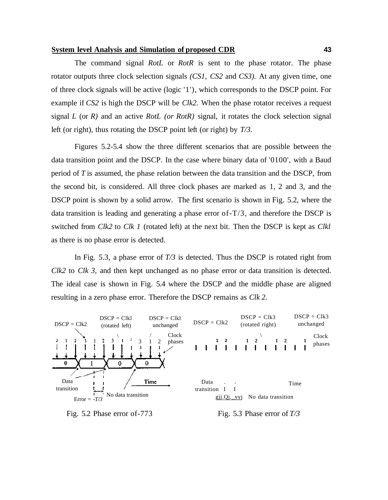#### **System level Analysis and Simulation of proposed CDR 43**

The command signal *RotL* or *RotR* is sent to the phase rotator. The phase rotator outputs three clock selection signals *(CS1, CS2* and *CS3).* At any given time, one of three clock signals will be active (logic '1'), which corresponds to the DSCP point. For example if *CS2* is high the DSCP will be *Clk2.* When the phase rotator receives a request signal *L* (or *R)* and an active *RotL (or RotR)* signal, it rotates the clock selection signal left (or right), thus rotating the DSCP point left (or right) by *T/3.* 

Figures 5.2-5.4 show the three different scenarios that are possible between the data transition point and the DSCP. In the case where binary data of '0100', with a Baud period of *T* is assumed, the phase relation between the data transition and the DSCP, from the second bit, is considered. All three clock phases are marked as 1, 2 and 3, and the DSCP point is shown by a solid arrow. The first scenario is shown in Fig. 5.2, where the data transition is leading and generating a phase error of- $T/3$ , and therefore the DSCP is switched from *Clk2* to *Clk 1* (rotated left) at the next bit. Then the DSCP is kept as *Clkl*  as there is no phase error is detected.

In Fig. 5.3, a phase error of *T/3* is detected. Thus the DSCP is rotated right from *Clk2* to *Clk 3,* and then kept unchanged as no phase error or data transition is detected. The ideal case is shown in Fig. 5.4 where the DSCP and the middle phase are aligned resulting in a zero phase error. Therefore the DSCP remains as *Clk 2.* 

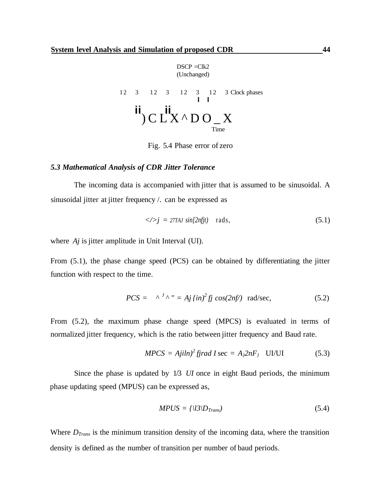#### DSCP =Clk2 (Unchanged)

12 3 12 3 12 3 12 3 Clock phases  $\mathsf{ii}^\prime$   $\alpha$   $\mathsf{ii}^\prime$ **I I**   $\big)$ CLX^DO\_X Time

Fig. 5.4 Phase error of zero

#### *5.3 Mathematical Analysis of CDR Jitter Tolerance*

The incoming data is accompanied with jitter that is assumed to be sinusoidal. A sinusoidal jitter at jitter frequency /. can be expressed as

$$
\langle \rangle = 277A J \sin[2n f j t] \text{ rads}, \tag{5.1}
$$

where *Aj* is jitter amplitude in Unit Interval (UI).

From (5.1), the phase change speed (PCS) can be obtained by differentiating the jitter function with respect to the time.

$$
PCS = \wedge^{J} \wedge \text{''} = Aj \{ in)^{2} \text{fj} \cos(2nf\text{)} \text{ rad/sec}, \tag{5.2}
$$

From (5.2), the maximum phase change speed (MPCS) is evaluated in terms of normalized jitter frequency, which is the ratio between jitter frequency and Baud rate.

$$
MPCS = Ajiln)^{2} \text{fjrad I sec} = A_{j} 2nF_{j} \quad \text{UI/UI} \tag{5.3}
$$

Since the phase is updated by 1/3 *UI* once in eight Baud periods, the minimum phase updating speed (MPUS) can be expressed as,

$$
MPUS = \{ \langle B \rangle D_{Trans} \} \tag{5.4}
$$

Where *DTrans* is the minimum transition density of the incoming data, where the transition density is defined as the number of transition per number of baud periods.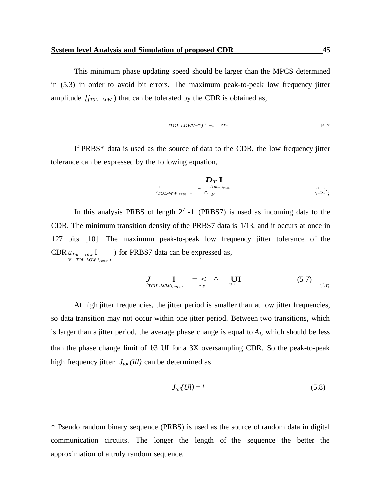This minimum phase updating speed should be larger than the MPCS determined in (5.3) in order to avoid bit errors. The maximum peak-to-peak low frequency jitter amplitude  $f_{\text{TOL} - \text{LOW}}$  that can be tolerated by the CDR is obtained as,

$$
JTOL-LOWV~^{(*)}) = -z \qquad 7T \sim \qquad P--7
$$

If PRBS\* data is used as the source of data to the CDR, the low frequency jitter tolerance can be expressed by the following equation,

$$
\mathbf{D}_{\boldsymbol{T}} \mathbf{I}
$$
\n
$$
T_{\text{TOL-WW}_{PRBS}} - \frac{\mathbf{D}_{\boldsymbol{T}} \mathbf{I}}{\wedge \frac{\text{Trans } \mathbf{I}_{PRBS}}{F}}
$$
\n
$$
T_{\text{TOL-WW}_{PRBS}} - \mathbf{I}
$$

In this analysis PRBS of length  $2<sup>7</sup>$  -1 (PRBS7) is used as incoming data to the CDR. The minimum transition density of the PRBS7 data is 1/13, and it occurs at once in 127 bits [10]. The maximum peak-to-peak low frequency jitter tolerance of the CDR  $u_{Tnr}$ ,  $_{nw}$  I ) for PRBS7 data can be expressed as,  $V$   $TOL\_LOW \rvert_{PRBS7}$  )

$$
J_{TOL-WW_{PPBSI}} = \langle \wedge \bigcup_{\cup_{i}} II \qquad (5.7)
$$

At high jitter frequencies, the jitter period is smaller than at low jitter frequencies, so data transition may not occur within one jitter period. Between two transitions, which is larger than a jitter period, the average phase change is equal to  $A<sub>j</sub>$ , which should be less than the phase change limit of 1/3 UI for a 3X oversampling CDR. So the peak-to-peak high frequency jitter *Jtol (ill)* can be determined as

$$
J_{tol}(Ul) = \langle \tag{5.8}
$$

\* Pseudo random binary sequence (PRBS) is used as the source of random data in digital communication circuits. The longer the length of the sequence the better the approximation of a truly random sequence.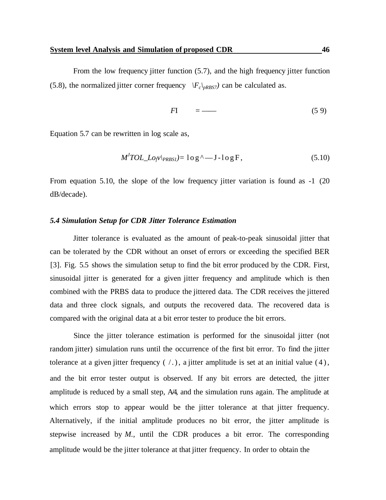From the low frequency jitter function (5.7), and the high frequency jitter function (5.8), the normalized jitter corner frequency  $\langle F_c \rangle_{pRBS7}$  can be calculated as.

$$
F1 = \qquad \qquad (5.9)
$$

Equation 5.7 can be rewritten in log scale as,

$$
M^{TOL} \_L_{OfV|PRBSI}) = \log^{\wedge} -J - \log F, \tag{5.10}
$$

From equation 5.10, the slope of the low frequency jitter variation is found as  $-1$  (20) dB/decade).

#### *5.4 Simulation Setup for CDR Jitter Tolerance Estimation*

Jitter tolerance is evaluated as the amount of peak-to-peak sinusoidal jitter that can be tolerated by the CDR without an onset of errors or exceeding the specified BER [3]. Fig. 5.5 shows the simulation setup to find the bit error produced by the CDR. First, sinusoidal jitter is generated for a given jitter frequency and amplitude which is then combined with the PRBS data to produce the jittered data. The CDR receives the jittered data and three clock signals, and outputs the recovered data. The recovered data is compared with the original data at a bit error tester to produce the bit errors.

Since the jitter tolerance estimation is performed for the sinusoidal jitter (not random jitter) simulation runs until the occurrence of the first bit error. To find the jitter tolerance at a given jitter frequency  $( / . )$ , a jitter amplitude is set at an initial value  $(4)$ , and the bit error tester output is observed. If any bit errors are detected, the jitter amplitude is reduced by a small step, A4, and the simulation runs again. The amplitude at which errors stop to appear would be the jitter tolerance at that jitter frequency. Alternatively, if the initial amplitude produces no bit error, the jitter amplitude is stepwise increased by *M.,* until the CDR produces a bit error. The corresponding amplitude would be the jitter tolerance at that jitter frequency. In order to obtain the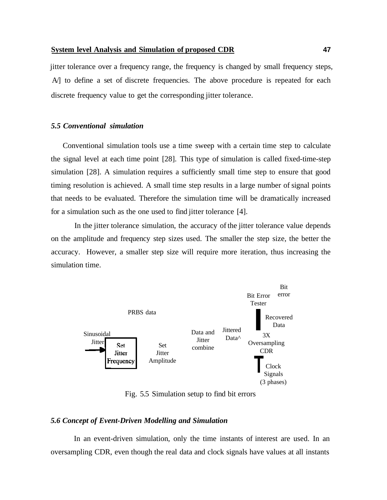#### **System level Analysis and Simulation of proposed CDR 47**

jitter tolerance over a frequency range, the frequency is changed by small frequency steps, A/] to define a set of discrete frequencies. The above procedure is repeated for each discrete frequency value to get the corresponding jitter tolerance.

#### *5.5 Conventional simulation*

Conventional simulation tools use a time sweep with a certain time step to calculate the signal level at each time point [28]. This type of simulation is called fixed-time-step simulation [28]. A simulation requires a sufficiently small time step to ensure that good timing resolution is achieved. A small time step results in a large number of signal points that needs to be evaluated. Therefore the simulation time will be dramatically increased for a simulation such as the one used to find jitter tolerance [4].

In the jitter tolerance simulation, the accuracy of the jitter tolerance value depends on the amplitude and frequency step sizes used. The smaller the step size, the better the accuracy. However, a smaller step size will require more iteration, thus increasing the simulation time.



Fig. 5.5 Simulation setup to find bit errors

#### *5.6 Concept of Event-Driven Modelling and Simulation*

In an event-driven simulation, only the time instants of interest are used. In an oversampling CDR, even though the real data and clock signals have values at all instants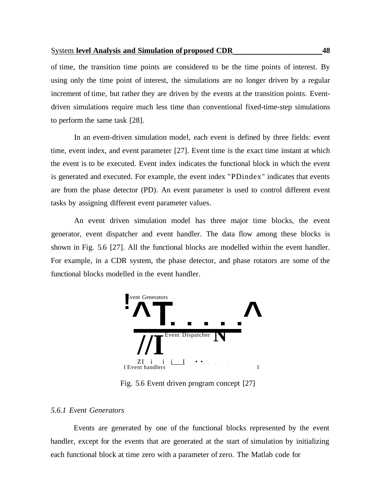of time, the transition time points are considered to be the time points of interest. By using only the time point of interest, the simulations are no longer driven by a regular increment of time, but rather they are driven by the events at the transition points. Eventdriven simulations require much less time than conventional fixed-time-step simulations to perform the same task [28].

In an event-driven simulation model, each event is defined by three fields: event time, event index, and event parameter [27]. Event time is the exact time instant at which the event is to be executed. Event index indicates the functional block in which the event is generated and executed. For example, the event index "PDindex" indicates that events are from the phase detector (PD). An event parameter is used to control different event tasks by assigning different event parameter values.

An event driven simulation model has three major time blocks, the event generator, event dispatcher and event handler. The data flow among these blocks is shown in Fig. 5.6 [27]. All the functional blocks are modelled within the event handler. For example, in a CDR system, the phase detector, and phase rotators are some of the functional blocks modelled in the event handler.



Fig. 5.6 Event driven program concept [27]

#### *5.6.1 Event Generators*

Events are generated by one of the functional blocks represented by the event handler, except for the events that are generated at the start of simulation by initializing each functional block at time zero with a parameter of zero. The Matlab code for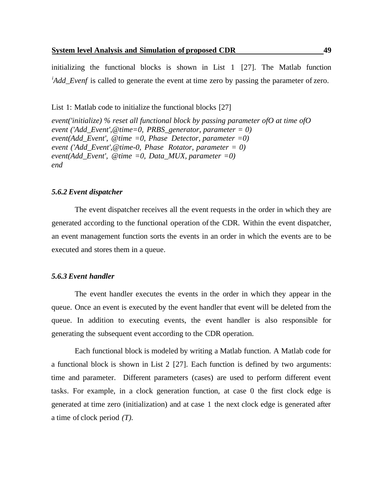initializing the functional blocks is shown in List 1 [27]. The Matlab function *<sup>i</sup>Add Evenf* is called to generate the event at time zero by passing the parameter of zero.

#### List 1: Matlab code to initialize the functional blocks [27]

*event('initialize) % reset all functional block by passing parameter ofO at time ofO event ('Add\_Event',@time=0, PRBS\_generator, parameter* = *0) event(Add\_Event', @time =0, Phase Detector, parameter =0) event ('Add\_Event',@time-0, Phase Rotator, parameter* = *0) event(Add\_Event', @time =0, Data\_MUX, parameter =0) end* 

#### *5.6.2 Event dispatcher*

The event dispatcher receives all the event requests in the order in which they are generated according to the functional operation of the CDR. Within the event dispatcher, an event management function sorts the events in an order in which the events are to be executed and stores them in a queue.

#### *5.6.3 Event handler*

The event handler executes the events in the order in which they appear in the queue. Once an event is executed by the event handler that event will be deleted from the queue. In addition to executing events, the event handler is also responsible for generating the subsequent event according to the CDR operation.

Each functional block is modeled by writing a Matlab function. A Matlab code for a functional block is shown in List 2 [27]. Each function is defined by two arguments: time and parameter. Different parameters (cases) are used to perform different event tasks. For example, in a clock generation function, at case 0 the first clock edge is generated at time zero (initialization) and at case 1 the next clock edge is generated after a time of clock period *(T).*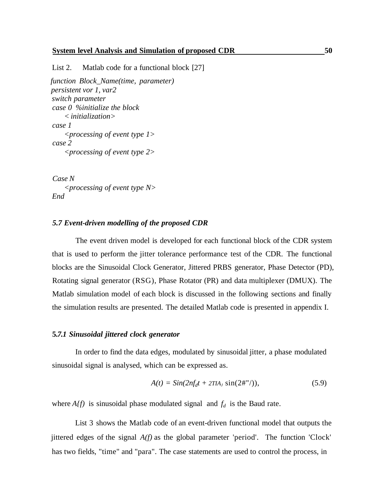#### **System level Analysis and Simulation of proposed CDR 50**

List 2. Matlab code for a functional block [27] *function Block\_Name(time, parameter) persistent vor 1, var2 switch parameter case 0 %initialize the block < initialization> case 1 <processing of event type 1> case 2 <processing of event type 2>* 

*Case N <processing of event type N> End* 

#### *5.7 Event-driven modelling of the proposed CDR*

The event driven model is developed for each functional block of the CDR system that is used to perform the jitter tolerance performance test of the CDR. The functional blocks are the Sinusoidal Clock Generator, Jittered PRBS generator, Phase Detector (PD), Rotating signal generator (RSG), Phase Rotator (PR) and data multiplexer (DMUX). The Matlab simulation model of each block is discussed in the following sections and finally the simulation results are presented. The detailed Matlab code is presented in appendix I.

#### **5.***7.1 Sinusoidal jittered clock generator*

In order to find the data edges, modulated by sinusoidal jitter, a phase modulated sinusoidal signal is analysed, which can be expressed as.

$$
A(t) = \sin(2nf_d t + 2TIA_J \sin(2\#^{\prime\prime}))), \qquad (5.9)
$$

where  $A(f)$  is sinusoidal phase modulated signal and  $f_d$  is the Baud rate.

List 3 shows the Matlab code of an event-driven functional model that outputs the jittered edges of the signal *A(f)* as the global parameter 'period'. The function 'Clock' has two fields, "time" and "para". The case statements are used to control the process, in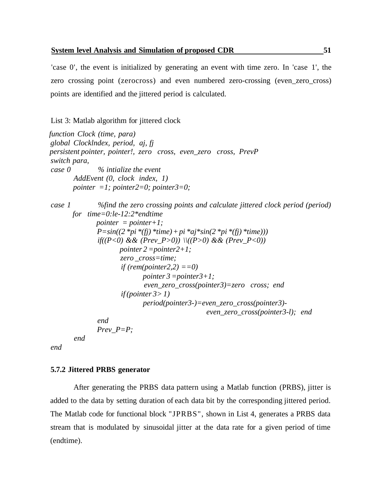'case 0', the event is initialized by generating an event with time zero. In 'case 1', the zero crossing point (zerocross) and even numbered zero-crossing (even\_zero\_cross) points are identified and the jittered period is calculated.

List 3: Matlab algorithm for jittered clock

```
function Clock (time, para) 
global Clocklndex, period, aj, fj 
persistent pointer, pointer!, zero cross, even_zero cross, PrevP 
switch para, 
case 0 % intialize the event 
       AddEvent (0, clock index, 1) 
       pointer =1; pointer2=0; pointer3=0; 
case 1 %find the zero crossing points and calculate jittered clock period (period) 
       for time=0:le-12:2*endtime 
               pointer = pointer+1; 
               P=sin((2 *pi *(fj) *time) + pi *aj*sin(2 *pi *(fj) *time))) 
               if((P<0) && (Prev_P>0)) \setminus((P>0) && (Prev_P<0))
                      pointer 2 =pointer2+1; 
                      zero _cross=time; 
                       if (rem(pointer2,2) ==0) 
                             pointer 3 =pointer3+1; 
                              even_zero_cross(pointer3)=zero cross; end 
                       if (pointer 3> 1) 
                             period(pointer3-)=even_zero_cross(pointer3)-
                                                  even_zero_cross(pointer3-l); end 
               end 
               Prev_P=P; 
        end 
end
```
#### **5.7.2 Jittered PRBS generator**

After generating the PRBS data pattern using a Matlab function (PRBS), jitter is added to the data by setting duration of each data bit by the corresponding jittered period. The Matlab code for functional block "JPRBS", shown in List 4, generates a PRBS data stream that is modulated by sinusoidal jitter at the data rate for a given period of time (endtime).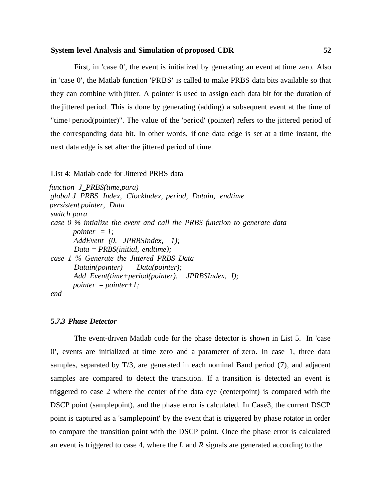First, in 'case 0', the event is initialized by generating an event at time zero. Also in 'case 0', the Matlab function 'PRBS' is called to make PRBS data bits available so that they can combine with jitter. A pointer is used to assign each data bit for the duration of the jittered period. This is done by generating (adding) a subsequent event at the time of "time+period(pointer)". The value of the 'period' (pointer) refers to the jittered period of the corresponding data bit. In other words, if one data edge is set at a time instant, the next data edge is set after the jittered period of time.

List 4: Matlab code for Jittered PRBS data

```
function J_PRBS(time,para) 
global J PRBS Index, Clocklndex, period, Datain, endtime 
persistent pointer, Data 
switch para 
case 0 % intialize the event and call the PRBS function to generate data 
       pointer = l;
       AddEvent (0, JPRBSIndex, 1); 
       Data = PRBS(initial, endtime); 
case 1 % Generate the Jittered PRBS Data 
       Datain(pointer) — Data(pointer); 
       Add_Event(time+period(pointer), JPRBSIndex, I); 
       pointer = pointer+1;
```
*end* 

#### **5.***7.3 Phase Detector*

The event-driven Matlab code for the phase detector is shown in List 5. In 'case 0', events are initialized at time zero and a parameter of zero. In case 1, three data samples, separated by T/3, are generated in each nominal Baud period (7), and adjacent samples are compared to detect the transition. If a transition is detected an event is triggered to case 2 where the center of the data eye (centerpoint) is compared with the DSCP point (samplepoint), and the phase error is calculated. In Case3, the current DSCP point is captured as a 'samplepoint' by the event that is triggered by phase rotator in order to compare the transition point with the DSCP point. Once the phase error is calculated an event is triggered to case 4, where the *L* and *R* signals are generated according to the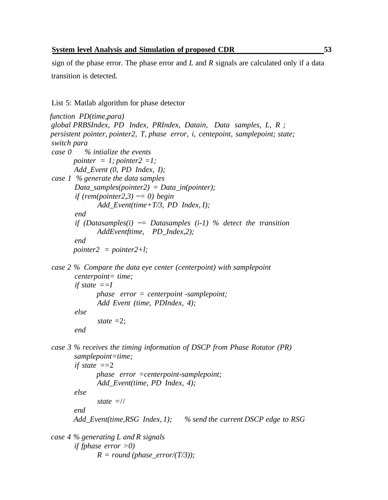sign of the phase error. The phase error and *L* and *R* signals are calculated only if a data transition is detected.

List 5: Matlab algorithm for phase detector

```
function PD(time,para) 
global PRBSIndex, PD Index, PRIndex, Datain, Data samples, L, R ; 
persistent pointer, pointer2, T, phase error, i, centepoint, samplepoint; state; 
switch para 
case 0 % intialize the events 
       pointer = 1; pointer2 =1; 
       Add_Event (0, PD Index, I); 
case 1 % generate the data samples 
       Data_samples(pointer2) = Data_in(pointer); 
       if (rem(pointer2,3) ~= 0) begin 
              Add_Event(time+T/3, PD Index, I); 
       end 
       if (Datasamples(i) ~= Datasamples (i-1) % detect the transition 
              AddEventftime, PD_Index,2); 
       end 
       pointer2 = pointer2+l; 
case 2 % Compare the data eye center (centerpoint) with samplepoint 
       centerpoint= time; 
       if state ==I 
              phase error = centerpoint -samplepoint; 
              Add Event (time, PDIndex, 4); 
       else 
              state =2;
       end 
case 3 % receives the timing information of DSCP from Phase Rotator (PR) 
       samplepoint=time; 
       if state ==2phase error =centerpoint-samplepoint; 
              Add_Event(time, PD Index, 4); 
       else 
              state =//
       end 
       Add_Event(time,RSG Index, 1); % send the current DSCP edge to RSG 
case 4 % generating L and R signals 
       if fphase error >0) 
              R = round (phase_error/(T/3));
```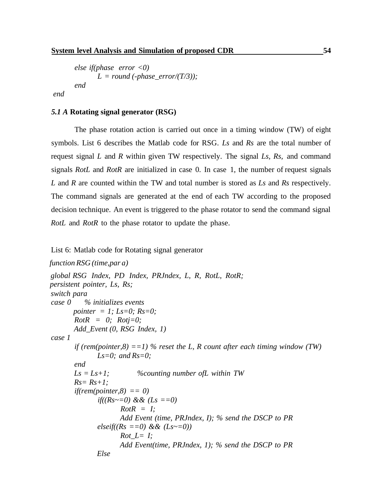```
else if(phase error <0) 
       L = round(-phase_error/(T/3));end
```
#### *5.1 A* **Rotating signal generator (RSG)**

*end* 

The phase rotation action is carried out once in a timing window (TW) of eight symbols. List 6 describes the Matlab code for RSG. *Ls* and *Rs* are the total number of request signal *L* and *R* within given TW respectively. The signal *Ls, Rs,* and command signals *RotL* and *RotR* are initialized in case 0. In case 1, the number of request signals *L* and *R* are counted within the TW and total number is stored as *Ls* and *Rs* respectively. The command signals are generated at the end of each TW according to the proposed decision technique. An event is triggered to the phase rotator to send the command signal *RotL* and *RotR* to the phase rotator to update the phase.

List 6: Matlab code for Rotating signal generator

```
function RSG (time,par a) 
global RSG Index, PD Index, PRJndex, L, R, RotL, RotR; 
persistent pointer, Ls, Rs; 
switch para 
case 0 % initializes events 
       pointer = 1; Ls=0; Rs=0; 
       RotR = 0; Rotj=0; 
       Add_Event (0, RSG Index, 1) 
case 1 
       if (rem(pointer,8) ==1) % reset the L, R count after each timing window (TW)
              Ls=0; and Rs=0; 
       end 
       Ls = Ls + 1; %counting number of L within TW
       Rs= Rs+1; 
       if(rem(pointer, 8) == 0)if(Rs = 0) && (Ls == 0)RotR = I;
                     Add Event (time, PRJndex, I); % send the DSCP to PR 
              elseif(Rs = 0) && (Ls \sim 0))
                     Rot_L= I; 
                     Add Event(time, PRJndex, 1); % send the DSCP to PR 
              Else
```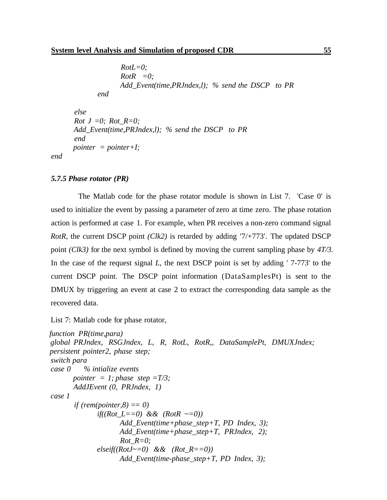```
RotL=0; 
      RotR = 0:
      Add_Event(time,PRJndex,l); % send the DSCP to PR 
end
```

```
else 
Rot J = 0; Rot R=0;
Add_Event(time,PRJndex,l); % send the DSCP to PR 
end 
pointer = pointer+I;
```
*end* 

#### *5.7.5 Phase rotator (PR)*

The Matlab code for the phase rotator module is shown in List 7. 'Case 0' is used to initialize the event by passing a parameter of zero at time zero. The phase rotation action is performed at case 1. For example, when PR receives a non-zero command signal *RotR,* the current DSCP point *(Clk2)* is retarded by adding '7/+773'. The updated DSCP point *(Clk3)* for the next symbol is defined by moving the current sampling phase by *4T/3.*  In the case of the request signal *L,* the next DSCP point is set by adding ' 7-773' to the current DSCP point. The DSCP point information (DataSamplesPt) is sent to the DMUX by triggering an event at case 2 to extract the corresponding data sample as the recovered data.

List 7: Matlab code for phase rotator,

```
function PR(time,para) 
global PRJndex, RSGJndex, L, R, RotL, RotR,, DataSamplePt, DMUXJndex; 
persistent pointer2, phase step; 
switch para 
case 0 % intialize events 
       pointer = 1; phase step =T/3; 
       AddJEvent (0, PRJndex, 1) 
case 1 
       if (rem(pointer,8) == 0) 
              if((Rot L=-0) && (RotR ~=0))
                    Add_Event(time+phase_step+T, PD Index, 3); 
                    Add_Event(time+phase_step+T, PRJndex, 2); 
                    Rot_R=0; 
              elseif((RotJ~0) & \&\&(RotR=0))Add_Event(time-phase_step+T, PD Index, 3);
```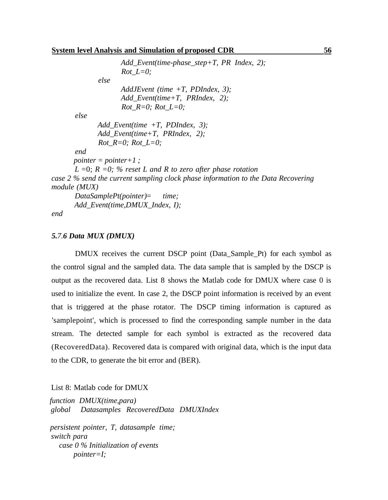```
Add_Event(time-phase_step+T, PR Index, 2); 
                     Rot_L=0; 
              else 
                     AddJEvent (time +T, PDIndex, 3); 
                     Add_Event(time+T, PRIndex, 2); 
                     Rot_R=0; Rot_L=0; 
       else 
              Add_Event(time +T, PDIndex, 3); 
              Add_Event(time+T, PRIndex, 2); 
              Rot_R=0; Rot_L=0; 
       end 
      pointer = pointer+1 ; 
       L = 0; R = 0; % reset L and R to zero after phase rotation
case 2 % send the current sampling clock phase information to the Data Recovering 
module (MUX) 
       DataSamplePt(pointer)= time; 
      Add_Event(time,DMUX_Index, I); 
end
```
#### *5.7.6 Data MUX (DMUX)*

DMUX receives the current DSCP point (Data\_Sample\_Pt) for each symbol as the control signal and the sampled data. The data sample that is sampled by the DSCP is output as the recovered data. List 8 shows the Matlab code for DMUX where case 0 is used to initialize the event. In case 2, the DSCP point information is received by an event that is triggered at the phase rotator. The DSCP timing information is captured as 'samplepoint', which is processed to find the corresponding sample number in the data stream. The detected sample for each symbol is extracted as the recovered data (RecoveredData). Recovered data is compared with original data, which is the input data to the CDR, to generate the bit error and (BER).

List 8: Matlab code for DMUX

*function DMUX(time,para) global Datasamples RecoveredData DMUXIndex* 

*persistent pointer, T, datasample time; switch para case 0 % Initialization of events pointer=I;*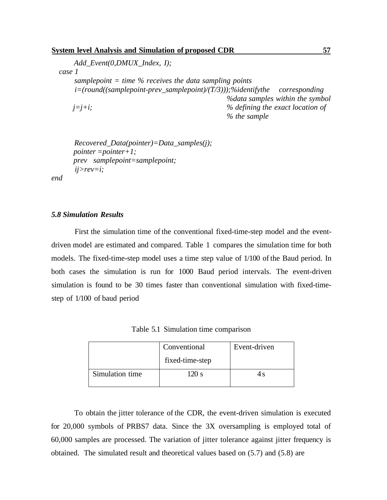*Add\_Event(0,DMUX\_Index, I); case 1 samplepoint = time % receives the data sampling points i=(round((samplepoint-prev\_samplepoint)/(T/3)));%identifythe corresponding %data samples within the symbol j=j+i; % defining the exact location of % the sample* 

```
Recovered_Data(pointer)=Data_samples(j); 
pointer =pointer+1; 
prev samplepoint=samplepoint; 
ij>rev=i;
```
*end* 

#### *5.8 Simulation Results*

First the simulation time of the conventional fixed-time-step model and the eventdriven model are estimated and compared. Table 1 compares the simulation time for both models. The fixed-time-step model uses a time step value of 1/100 of the Baud period. In both cases the simulation is run for 1000 Baud period intervals. The event-driven simulation is found to be 30 times faster than conventional simulation with fixed-timestep of 1/100 of baud period

Table 5.1 Simulation time comparison

|                 | Conventional    | Event-driven |  |
|-----------------|-----------------|--------------|--|
|                 | fixed-time-step |              |  |
| Simulation time | 120 s           | 4 S          |  |

To obtain the jitter tolerance of the CDR, the event-driven simulation is executed for 20,000 symbols of PRBS7 data. Since the 3X oversampling is employed total of 60,000 samples are processed. The variation of jitter tolerance against jitter frequency is obtained. The simulated result and theoretical values based on (5.7) and (5.8) are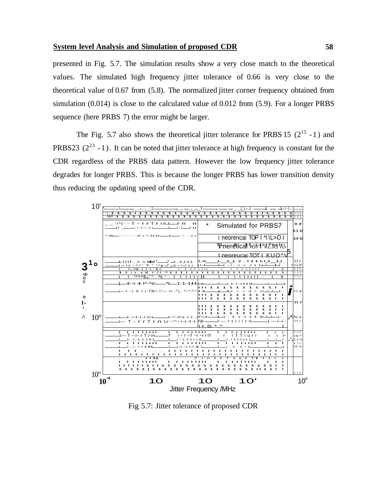presented in Fig. 5.7. The simulation results show a very close match to the theoretical values. The simulated high frequency jitter tolerance of 0.66 is very close to the theoretical value of 0.67 from (5.8). The normalized jitter corner frequency obtained from simulation (0.014) is close to the calculated value of 0.012 from (5.9). For a longer PRBS sequence (here PRBS 7) the error might be larger.

The Fig. 5.7 also shows the theoretical jitter tolerance for PRBS 15  $(2^{15} - 1)$  and PRBS23  $(2^{23} - 1)$ . It can be noted that jitter tolerance at high frequency is constant for the CDR regardless of the PRBS data pattern. However the low frequency jitter tolerance degrades for longer PRBS. This is because the longer PRBS has lower transition density thus reducing the updating speed of the CDR.



Fig 5.7: Jitter tolerance of proposed CDR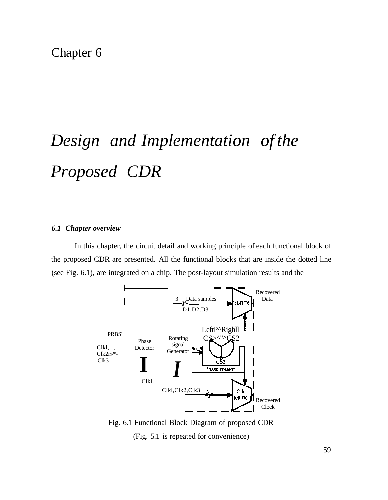### Chapter 6

# *Design and Implementation of the Proposed CDR*

#### *6.1 Chapter overview*

In this chapter, the circuit detail and working principle of each functional block of the proposed CDR are presented. All the functional blocks that are inside the dotted line (see Fig. 6.1), are integrated on a chip. The post-layout simulation results and the



Fig. 6.1 Functional Block Diagram of proposed CDR

(Fig. 5.1 is repeated for convenience)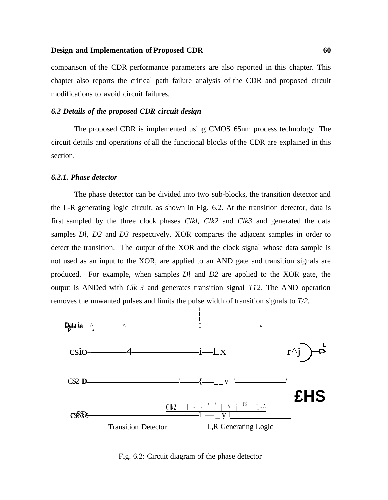comparison of the CDR performance parameters are also reported in this chapter. This chapter also reports the critical path failure analysis of the CDR and proposed circuit modifications to avoid circuit failures.

#### *6.2 Details of the proposed CDR circuit design*

The proposed CDR is implemented using CMOS 65nm process technology. The circuit details and operations of all the functional blocks of the CDR are explained in this section.

#### *6.2.1. Phase detector*

The phase detector can be divided into two sub-blocks, the transition detector and the L-R generating logic circuit, as shown in Fig. 6.2. At the transition detector, data is first sampled by the three clock phases *Clkl, Clk2* and *Clk3* and generated the data samples *Dl, D2* and *D3* respectively. XOR compares the adjacent samples in order to detect the transition. The output of the XOR and the clock signal whose data sample is not used as an input to the XOR, are applied to an AND gate and transition signals are produced. For example, when samples *Dl* and *D2* are applied to the XOR gate, the output is ANDed with *Clk 3* and generates transition signal *T12.* The AND operation removes the unwanted pulses and limits the pulse width of transition signals to *T/2.* 



Fig. 6.2: Circuit diagram of the phase detector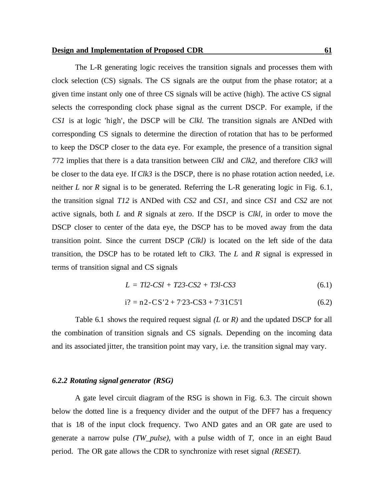The L-R generating logic receives the transition signals and processes them with clock selection (CS) signals. The CS signals are the output from the phase rotator; at a given time instant only one of three CS signals will be active (high). The active CS signal selects the corresponding clock phase signal as the current DSCP. For example, if the *CS1* is at logic 'high', the DSCP will be *Clkl.* The transition signals are ANDed with corresponding CS signals to determine the direction of rotation that has to be performed to keep the DSCP closer to the data eye. For example, the presence of a transition signal 772 implies that there is a data transition between *Clkl* and *Clk2,* and therefore *Clk3* will be closer to the data eye. If *Clk3* is the DSCP, there is no phase rotation action needed, i.e. neither *L* nor *R* signal is to be generated. Referring the L-R generating logic in Fig. 6.1, the transition signal *T12* is ANDed with *CS2* and *CS1,* and since *CS1* and *CS2* are not active signals, both *L* and *R* signals at zero. If the DSCP is *Clkl,* in order to move the DSCP closer to center of the data eye, the DSCP has to be moved away from the data transition point. Since the current DSCP *(Clkl)* is located on the left side of the data transition, the DSCP has to be rotated left to *Clk3.* The *L* and *R* signal is expressed in terms of transition signal and CS signals

$$
L = Tl2\text{-}CSl + T23\text{-}CS2 + T3l\text{-}CS3\tag{6.1}
$$

$$
i? = n2-CS'2 + 7'23-CS3 + 7'31C5'1
$$
 (6.2)

Table 6.1 shows the required request signal *(L* or *R)* and the updated DSCP for all the combination of transition signals and CS signals. Depending on the incoming data and its associated jitter, the transition point may vary, i.e. the transition signal may vary.

#### *6.2.2 Rotating signal generator (RSG)*

A gate level circuit diagram of the RSG is shown in Fig. 6.3. The circuit shown below the dotted line is a frequency divider and the output of the DFF7 has a frequency that is 1/8 of the input clock frequency. Two AND gates and an OR gate are used to generate a narrow pulse *(TW\_pulse),* with a pulse width of *T,* once in an eight Baud period. The OR gate allows the CDR to synchronize with reset signal *(RESET).*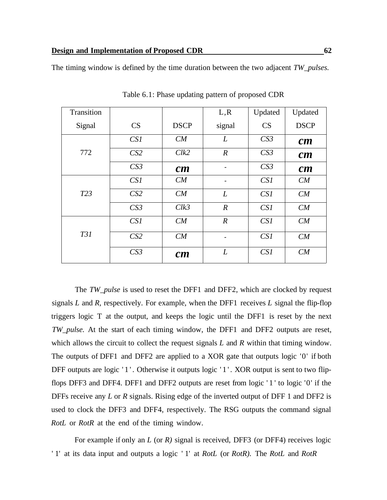The timing window is defined by the time duration between the two adjacent *TW\_pulses.* 

| Transition |                 |                   | L, R             | Updated         | Updated           |
|------------|-----------------|-------------------|------------------|-----------------|-------------------|
| Signal     | CS              | <b>DSCP</b>       | signal           | CS              | <b>DSCP</b>       |
| 772        | CS1             | CM                | L                | CS3             | $\boldsymbol{cm}$ |
|            | CS <sub>2</sub> | Clk2              | $\boldsymbol{R}$ | CS3             | $\boldsymbol{cm}$ |
|            | CS3             | $\boldsymbol{cm}$ | -                | CS <sub>3</sub> | $\boldsymbol{cm}$ |
| T23        | CS1             | CM                | -                | CS1             | CM                |
|            | CS <sub>2</sub> | CM                | L                | CS1             | CM                |
|            | CS <sub>3</sub> | Clk3              | $\boldsymbol{R}$ | CS1             | CM                |
| T31        | CS1             | CM                | $\boldsymbol{R}$ | CS1             | CM                |
|            | CS <sub>2</sub> | CM                |                  | CS1             | CM                |
|            | CS <sub>3</sub> | $\boldsymbol{cm}$ | L                | CS1             | CM                |

Table 6.1: Phase updating pattern of proposed CDR

The *TW\_pulse* is used to reset the DFF1 and DFF2, which are clocked by request signals *L* and *R,* respectively. For example, when the DFF1 receives *L* signal the flip-flop triggers logic T at the output, and keeps the logic until the DFF1 is reset by the next *TW\_pulse.* At the start of each timing window, the DFF1 and DFF2 outputs are reset, which allows the circuit to collect the request signals *L* and *R* within that timing window. The outputs of DFF1 and DFF2 are applied to a XOR gate that outputs logic '0' if both DFF outputs are logic '1' . Otherwise it outputs logic '1' . XOR output is sent to two flipflops DFF3 and DFF4. DFF1 and DFF2 outputs are reset from logic '1 ' to logic '0' if the DFFs receive any *L* or *R* signals. Rising edge of the inverted output of DFF 1 and DFF2 is used to clock the DFF3 and DFF4, respectively. The RSG outputs the command signal *RotL* or *RotR* at the end of the timing window.

For example if only an *L* (or *R)* signal is received, DFF3 (or DFF4) receives logic ' 1' at its data input and outputs a logic ' 1' at *RotL* (or *RotR).* The *RotL* and *RotR*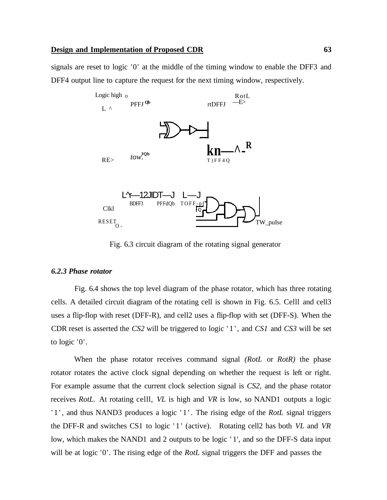signals are reset to logic '0' at the middle of the timing window to enable the DFF3 and DFF4 output line to capture the request for the next timing window, respectively.



Fig. 6.3 circuit diagram of the rotating signal generator

#### *6.2.3 Phase rotator*

Fig. 6.4 shows the top level diagram of the phase rotator, which has three rotating cells. A detailed circuit diagram of the rotating cell is shown in Fig. 6.5. Celll and cell3 uses a flip-flop with reset (DFF-R), and cell2 uses a flip-flop with set (DFF-S). When the CDR reset is asserted the *CS2* will be triggered to logic '1' , and *CS1* and *CS3* will be set to logic '0'.

When the phase rotator receives command signal *(RotL* or *RotR)* the phase rotator rotates the active clock signal depending on whether the request is left or right. For example assume that the current clock selection signal is *CS2,* and the phase rotator receives *RotL.* At rotating celll, *VL* is high and *VR* is low, so NAND1 outputs a logic '1' , and thus NAND3 produces a logic '1' . The rising edge of the *RotL* signal triggers the DFF-R and switches CS1 to logic '1 ' (active). Rotating cell2 has both *VL* and *VR*  low, which makes the NAND1 and 2 outputs to be logic ' 1', and so the DFF-S data input will be at logic '0'. The rising edge of the *RotL* signal triggers the DFF and passes the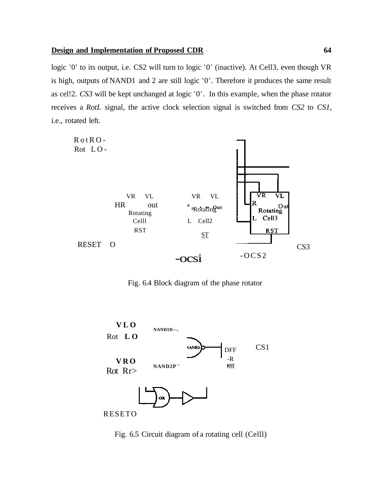logic '0' to its output, i.e. CS2 will turn to logic '0' (inactive). At Cell3, even though VR is high, outputs of NAND1 and 2 are still logic '0'. Therefore it produces the same result as cel!2. *CS3* will be kept unchanged at logic '0'. In this example, when the phase rotator receives a *RotL* signal, the active clock selection signal is switched from *CS2* to *CS1,*  i.e., rotated left.



Fig. 6.4 Block diagram of the phase rotator



Fig. 6.5 Circuit diagram of a rotating cell (Celll)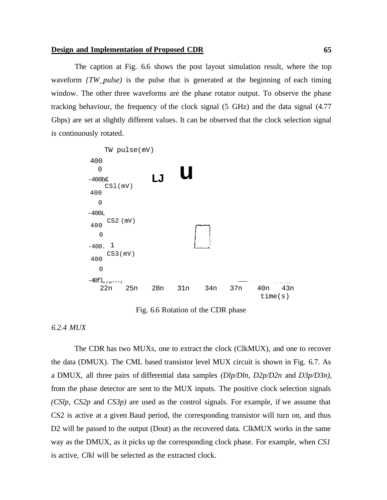The caption at Fig. 6.6 shows the post layout simulation result, where the top waveform *{TW\_pulse)* is the pulse that is generated at the beginning of each timing window. The other three waveforms are the phase rotator output. To observe the phase tracking behaviour, the frequency of the clock signal (5 GHz) and the data signal (4.77 Gbps) are set at slightly different values. It can be observed that the clock selection signal is continuously rotated.



Fig. 6.6 Rotation of the CDR phase

#### *6.2.4 MUX*

The CDR has two MUXs, one to extract the clock (ClkMUX), and one to recover the data (DMUX). The CML based transistor level MUX circuit is shown in Fig. 6.7. As a DMUX, all three pairs of differential data samples *(Dlp/Dln, D2p/D2n* and *D3p/D3n),*  from the phase detector are sent to the MUX inputs. The positive clock selection signals *(CSlp, CS2p* and *CS3p)* are used as the control signals. For example, if we assume that CS2 is active at a given Baud period, the corresponding transistor will turn on, and thus D2 will be passed to the output (Dout) as the recovered data. ClkMUX works in the same way as the DMUX, as it picks up the corresponding clock phase. For example, when *CS1*  is active, *Clkl* will be selected as the extracted clock.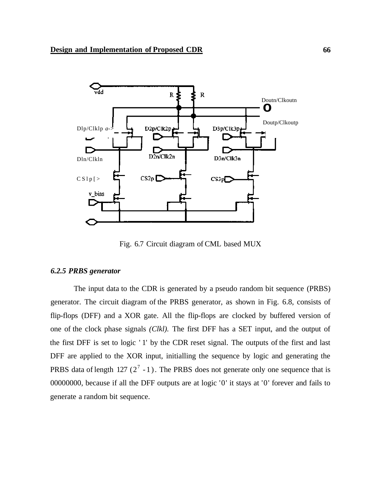

Fig. 6.7 Circuit diagram of CML based MUX

#### *6.2.5 PRBS generator*

The input data to the CDR is generated by a pseudo random bit sequence (PRBS) generator. The circuit diagram of the PRBS generator, as shown in Fig. 6.8, consists of flip-flops (DFF) and a XOR gate. All the flip-flops are clocked by buffered version of one of the clock phase signals *(Clkl).* The first DFF has a SET input, and the output of the first DFF is set to logic ' 1' by the CDR reset signal. The outputs of the first and last DFF are applied to the XOR input, initialling the sequence by logic and generating the PRBS data of length 127  $(2^7 - 1)$ . The PRBS does not generate only one sequence that is 00000000, because if all the DFF outputs are at logic '0' it stays at '0' forever and fails to generate a random bit sequence.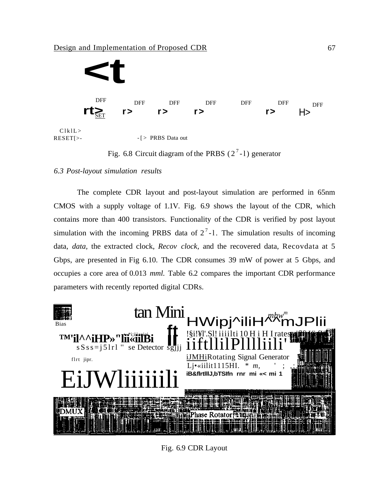

Fig. 6.8 Circuit diagram of the PRBS  $(2^7-1)$  generator

#### 6.3 Post-layout simulation results

The complete CDR layout and post-layout simulation are performed in 65nm CMOS with a supply voltage of 1.1V. Fig. 6.9 shows the layout of the CDR, which contains more than 400 transistors. Functionality of the CDR is verified by post layout simulation with the incoming PRBS data of  $2^7$ -1. The simulation results of incoming data, data, the extracted clock, Recov clock, and the recovered data, Recovdata at 5 Gbps, are presented in Fig 6.10. The CDR consumes 39 mW of power at 5 Gbps, and occupies a core area of 0.013 mml. Table 6.2 compares the important CDR performance parameters with recently reported digital CDRs.



Fig. 6.9 CDR Layout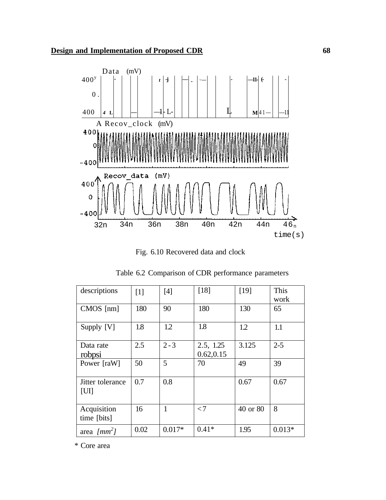

Fig. 6.10 Recovered data and clock

| descriptions                | [1]  | [4]      | [18]                    | [19]     | This<br>work |
|-----------------------------|------|----------|-------------------------|----------|--------------|
| $CMOS$ [nm]                 | 180  | 90       | 180                     | 130      | 65           |
| Supply [V]                  | 1.8  | 1.2      | 1.8                     | 1.2      | 1.1          |
| Data rate<br><u>robpsi</u>  | 2.5  | $2 - 3$  | 2.5, 1.25<br>0.62, 0.15 | 3.125    | $2 - 5$      |
| Power [raW]                 | 50   | 5        | 70                      | 49       | 39           |
| Jitter tolerance<br>[U]     | 0.7  | 0.8      |                         | 0.67     | 0.67         |
| Acquisition<br>time [bits]  | 16   | 1        | ${<}7$                  | 40 or 80 | 8            |
| area $\left[ mm^{2}\right]$ | 0.02 | $0.017*$ | $0.41*$                 | 1.95     | $0.013*$     |

Table 6.2 Comparison of CDR performance parameters

\* Core area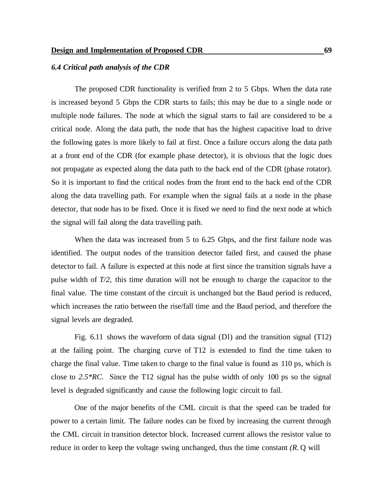#### *6.4 Critical path analysis of the CDR*

The proposed CDR functionality is verified from 2 to 5 Gbps. When the data rate is increased beyond 5 Gbps the CDR starts to fails; this may be due to a single node or multiple node failures. The node at which the signal starts to fail are considered to be a critical node. Along the data path, the node that has the highest capacitive load to drive the following gates is more likely to fail at first. Once a failure occurs along the data path at a front end of the CDR (for example phase detector), it is obvious that the logic does not propagate as expected along the data path to the back end of the CDR (phase rotator). So it is important to find the critical nodes from the front end to the back end of the CDR along the data travelling path. For example when the signal fails at a node in the phase detector, that node has to be fixed. Once it is fixed we need to find the next node at which the signal will fail along the data travelling path.

When the data was increased from 5 to 6.25 Gbps, and the first failure node was identified. The output nodes of the transition detector failed first, and caused the phase detector to fail. A failure is expected at this node at first since the transition signals have a pulse width of *T/2,* this time duration will not be enough to charge the capacitor to the final value. The time constant of the circuit is unchanged but the Baud period is reduced, which increases the ratio between the rise/fall time and the Baud period, and therefore the signal levels are degraded.

Fig. 6.11 shows the waveform of data signal (Dl) and the transition signal (T12) at the failing point. The charging curve of T12 is extended to find the time taken to charge the final value. Time taken to charge to the final value is found as 110 ps, which is close to  $2.5*RC$ . Since the T12 signal has the pulse width of only 100 ps so the signal level is degraded significantly and cause the following logic circuit to fail.

One of the major benefits of the CML circuit is that the speed can be traded for power to a certain limit. The failure nodes can be fixed by increasing the current through the CML circuit in transition detector block. Increased current allows the resistor value to reduce in order to keep the voltage swing unchanged, thus the time constant *(R.* Q will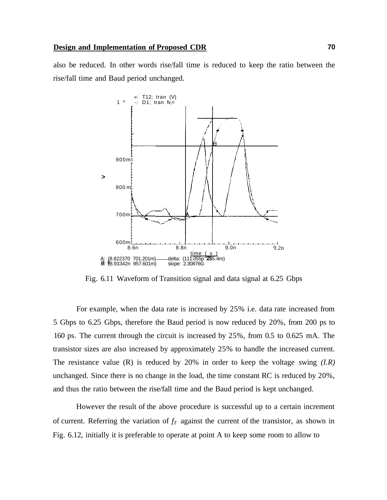also be reduced. In other words rise/fall time is reduced to keep the ratio between the rise/fall time and Baud period unchanged.



Fig. 6.11 Waveform of Transition signal and data signal at 6.25 Gbps

For example, when the data rate is increased by 25% i.e. data rate increased from 5 Gbps to 6.25 Gbps, therefore the Baud period is now reduced by 20%, from 200 ps to 160 ps. The current through the circuit is increased by 25%, from 0.5 to 0.625 mA. The transistor sizes are also increased by approximately 25% to handle the increased current. The resistance value (R) is reduced by 20% in order to keep the voltage swing *(I.R)*  unchanged. Since there is no change in the load, the time constant RC is reduced by 20%, and thus the ratio between the rise/fall time and the Baud period is kept unchanged.

However the result of the above procedure is successful up to a certain increment of current. Referring the variation of  $f<sub>T</sub>$  against the current of the transistor, as shown in Fig. 6.12, initially it is preferable to operate at point A to keep some room to allow to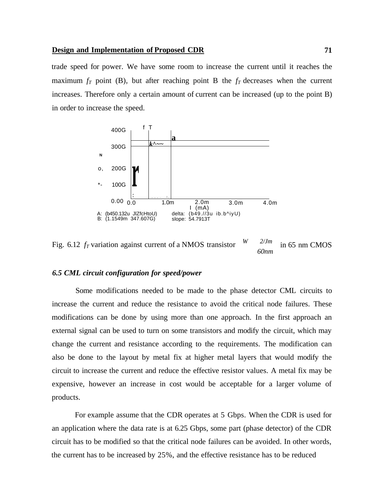trade speed for power. We have some room to increase the current until it reaches the maximum  $f_T$  point (B), but after reaching point B the  $f_T$  decreases when the current increases. Therefore only a certain amount of current can be increased (up to the point B) in order to increase the speed.



Fig. 6.12  $f<sub>T</sub>$  variation against current of a NMOS transistor *W 2/Jm 60nm*  in 65 nm CMOS

#### *6.5 CML circuit configuration for speed/power*

Some modifications needed to be made to the phase detector CML circuits to increase the current and reduce the resistance to avoid the critical node failures. These modifications can be done by using more than one approach. In the first approach an external signal can be used to turn on some transistors and modify the circuit, which may change the current and resistance according to the requirements. The modification can also be done to the layout by metal fix at higher metal layers that would modify the circuit to increase the current and reduce the effective resistor values. A metal fix may be expensive, however an increase in cost would be acceptable for a larger volume of products.

For example assume that the CDR operates at 5 Gbps. When the CDR is used for an application where the data rate is at 6.25 Gbps, some part (phase detector) of the CDR circuit has to be modified so that the critical node failures can be avoided. In other words, the current has to be increased by 25%, and the effective resistance has to be reduced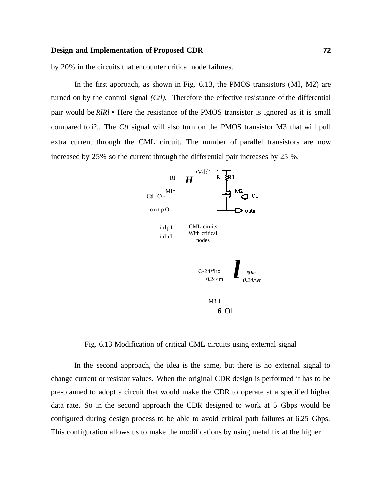by 20% in the circuits that encounter critical node failures.

In the first approach, as shown in Fig. 6.13, the PMOS transistors (Ml, M2) are turned on by the control signal *(Ctl).* Therefore the effective resistance of the differential pair would be *RlRl* • Here the resistance of the PMOS transistor is ignored as it is small compared to i?,. The *Ctl* signal will also turn on the PMOS transistor M3 that will pull extra current through the CML circuit. The number of parallel transistors are now increased by 25% so the current through the differential pair increases by 25 %.



Fig. 6.13 Modification of critical CML circuits using external signal

In the second approach, the idea is the same, but there is no external signal to change current or resistor values. When the original CDR design is performed it has to be pre-planned to adopt a circuit that would make the CDR to operate at a specified higher data rate. So in the second approach the CDR designed to work at 5 Gbps would be configured during design process to be able to avoid critical path failures at 6.25 Gbps. This configuration allows us to make the modifications by using metal fix at the higher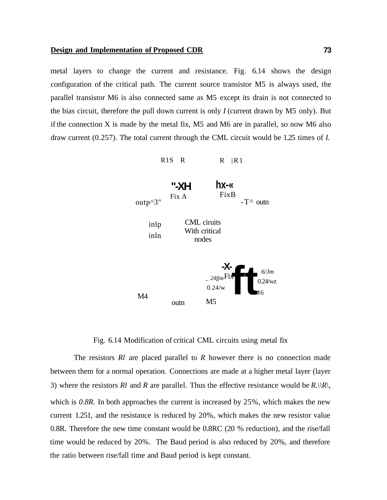metal layers to change the current and resistance. Fig. 6.14 shows the design configuration of the critical path. The current source transistor M5 is always used, the parallel transistor M6 is also connected same as M5 except its drain is not connected to the bias circuit, therefore the pull down current is only *I* (current drawn by M5 only). But if the connection X is made by the metal fix, M5 and M6 are in parallel, so now M6 also draw current (0.257). The total current through the CML circuit would be 1.25 times of *I.* 



Fig. 6.14 Modification of critical CML circuits using metal fix

The resistors *Rl* are placed parallel to *R* however there is no connection made between them for a normal operation. Connections are made at a higher metal layer (layer 3) where the resistors *Rl* and *R* are parallel. Thus the effective resistance would be *R.\\R\*, which is 0.8R. In both approaches the current is increased by 25%, which makes the new current 1.251, and the resistance is reduced by 20%, which makes the new resistor value 0.8R. Therefore the new time constant would be 0.8RC (20 % reduction), and the rise/fall time would be reduced by 20%. The Baud period is also reduced by 20%, and therefore the ratio between rise/fall time and Baud period is kept constant.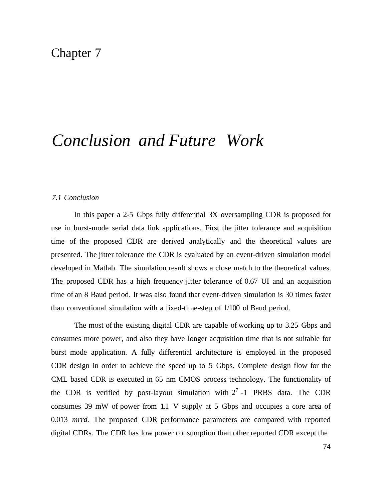### Chapter 7

## *Conclusion and Future Work*

#### *7.1 Conclusion*

In this paper a 2-5 Gbps fully differential 3X oversampling CDR is proposed for use in burst-mode serial data link applications. First the jitter tolerance and acquisition time of the proposed CDR are derived analytically and the theoretical values are presented. The jitter tolerance the CDR is evaluated by an event-driven simulation model developed in Matlab. The simulation result shows a close match to the theoretical values. The proposed CDR has a high frequency jitter tolerance of 0.67 UI and an acquisition time of an 8 Baud period. It was also found that event-driven simulation is 30 times faster than conventional simulation with a fixed-time-step of 1/100 of Baud period.

The most of the existing digital CDR are capable of working up to 3.25 Gbps and consumes more power, and also they have longer acquisition time that is not suitable for burst mode application. A fully differential architecture is employed in the proposed CDR design in order to achieve the speed up to 5 Gbps. Complete design flow for the CML based CDR is executed in 65 nm CMOS process technology. The functionality of the CDR is verified by post-layout simulation with  $2^7$  -1 PRBS data. The CDR consumes 39 mW of power from 1.1 V supply at 5 Gbps and occupies a core area of 0.013 *mrrd.* The proposed CDR performance parameters are compared with reported digital CDRs. The CDR has low power consumption than other reported CDR except the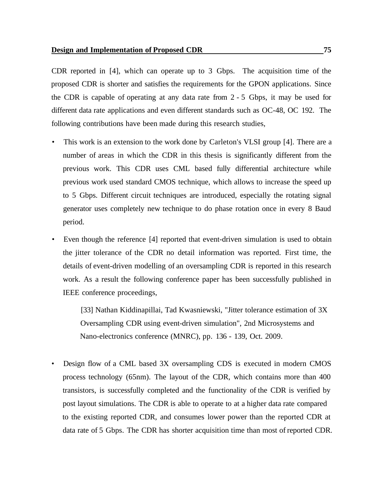CDR reported in [4], which can operate up to 3 Gbps. The acquisition time of the proposed CDR is shorter and satisfies the requirements for the GPON applications. Since the CDR is capable of operating at any data rate from 2- 5 Gbps, it may be used for different data rate applications and even different standards such as OC-48, OC 192. The following contributions have been made during this research studies,

- This work is an extension to the work done by Carleton's VLSI group [4]. There are a number of areas in which the CDR in this thesis is significantly different from the previous work. This CDR uses CML based fully differential architecture while previous work used standard CMOS technique, which allows to increase the speed up to 5 Gbps. Different circuit techniques are introduced, especially the rotating signal generator uses completely new technique to do phase rotation once in every 8 Baud period.
- Even though the reference [4] reported that event-driven simulation is used to obtain the jitter tolerance of the CDR no detail information was reported. First time, the details of event-driven modelling of an oversampling CDR is reported in this research work. As a result the following conference paper has been successfully published in IEEE conference proceedings,

[33] Nathan Kiddinapillai, Tad Kwasniewski, "Jitter tolerance estimation of 3X Oversampling CDR using event-driven simulation", 2nd Microsystems and Nano-electronics conference (MNRC), pp. 136 - 139, Oct. 2009.

• Design flow of a CML based 3X oversampling CDS is executed in modern CMOS process technology (65nm). The layout of the CDR, which contains more than 400 transistors, is successfully completed and the functionality of the CDR is verified by post layout simulations. The CDR is able to operate to at a higher data rate compared to the existing reported CDR, and consumes lower power than the reported CDR at data rate of 5 Gbps. The CDR has shorter acquisition time than most of reported CDR.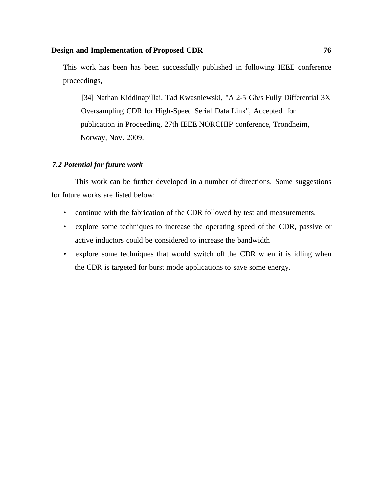This work has been has been successfully published in following IEEE conference proceedings,

[34] Nathan Kiddinapillai, Tad Kwasniewski, "A 2-5 Gb/s Fully Differential 3X Oversampling CDR for High-Speed Serial Data Link", Accepted for publication in Proceeding, 27th IEEE NORCHIP conference, Trondheim, Norway, Nov. 2009.

#### *7.2 Potential for future work*

This work can be further developed in a number of directions. Some suggestions for future works are listed below:

- continue with the fabrication of the CDR followed by test and measurements.
- explore some techniques to increase the operating speed of the CDR, passive or active inductors could be considered to increase the bandwidth
- explore some techniques that would switch off the CDR when it is idling when the CDR is targeted for burst mode applications to save some energy.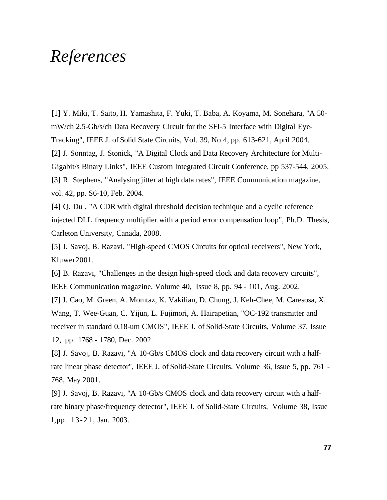### *References*

[1] Y. Miki, T. Saito, H. Yamashita, F. Yuki, T. Baba, A. Koyama, M. Sonehara, "A 50 mW/ch 2.5-Gb/s/ch Data Recovery Circuit for the SFI-5 Interface with Digital Eye-Tracking", IEEE J. of Solid State Circuits, Vol. 39, No.4, pp. 613-621, April 2004. [2] J. Sonntag, J. Stonick, "A Digital Clock and Data Recovery Architecture for Multi-Gigabit/s Binary Links", IEEE Custom Integrated Circuit Conference, pp 537-544, 2005. [3] R. Stephens, "Analysing jitter at high data rates", IEEE Communication magazine, vol. 42, pp. S6-10, Feb. 2004.

[4] Q. Du , "A CDR with digital threshold decision technique and a cyclic reference injected DLL frequency multiplier with a period error compensation loop", Ph.D. Thesis, Carleton University, Canada, 2008.

[5] J. Savoj, B. Razavi, "High-speed CMOS Circuits for optical receivers", New York, Kluwer2001.

[6] B. Razavi, "Challenges in the design high-speed clock and data recovery circuits", IEEE Communication magazine, Volume 40, Issue 8, pp. 94 - 101, Aug. 2002.

[7] J. Cao, M. Green, A. Momtaz, K. Vakilian, D. Chung, J. Keh-Chee, M. Caresosa, X. Wang, T. Wee-Guan, C. Yijun, L. Fujimori, A. Hairapetian, "OC-192 transmitter and receiver in standard 0.18-um CMOS", IEEE J. of Solid-State Circuits, Volume 37, Issue 12, pp. 1768 - 1780, Dec. 2002.

[8] J. Savoj, B. Razavi, "A 10-Gb/s CMOS clock and data recovery circuit with a halfrate linear phase detector", IEEE J. of Solid-State Circuits, Volume 36, Issue 5, pp. 761 - 768, May 2001.

[9] J. Savoj, B. Razavi, "A 10-Gb/s CMOS clock and data recovery circuit with a halfrate binary phase/frequency detector", IEEE J. of Solid-State Circuits, Volume 38, Issue l,pp. 13-21 , Jan. 2003.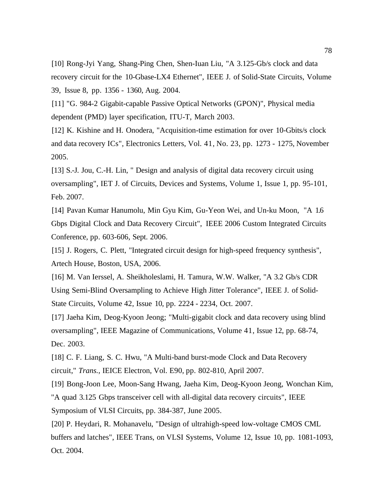[10] Rong-Jyi Yang, Shang-Ping Chen, Shen-Iuan Liu, "A 3.125-Gb/s clock and data recovery circuit for the 10-Gbase-LX4 Ethernet", IEEE J. of Solid-State Circuits, Volume 39, Issue 8, pp. 1356 - 1360, Aug. 2004.

[11] "G. 984-2 Gigabit-capable Passive Optical Networks (GPON)", Physical media dependent (PMD) layer specification, ITU-T, March 2003.

[12] K. Kishine and H. Onodera, "Acquisition-time estimation for over 10-Gbits/s clock and data recovery ICs", Electronics Letters, Vol. 41, No. 23, pp. 1273 - 1275, November 2005.

[13] S.-J. Jou, C.-H. Lin, " Design and analysis of digital data recovery circuit using oversampling", IET J. of Circuits, Devices and Systems, Volume 1, Issue 1, pp. 95-101, Feb. 2007.

[14] Pavan Kumar Hanumolu, Min Gyu Kim, Gu-Yeon Wei, and Un-ku Moon, "A 1.6 Gbps Digital Clock and Data Recovery Circuit", IEEE 2006 Custom Integrated Circuits Conference, pp. 603-606, Sept. 2006.

[15] J. Rogers, C. Plett, "Integrated circuit design for high-speed frequency synthesis", Artech House, Boston, USA, 2006.

[16] M. Van Ierssel, A. Sheikholeslami, H. Tamura, W.W. Walker, "A 3.2 Gb/s CDR Using Semi-Blind Oversampling to Achieve High Jitter Tolerance", IEEE J. of Solid-State Circuits, Volume 42, Issue 10, pp. 2224 - 2234, Oct. 2007.

[17] Jaeha Kim, Deog-Kyoon Jeong; "Multi-gigabit clock and data recovery using blind oversampling", IEEE Magazine of Communications, Volume 41, Issue 12, pp. 68-74, Dec. 2003.

[18] C. F. Liang, S. C. Hwu, "A Multi-band burst-mode Clock and Data Recovery circuit," *Trans.,* IEICE Electron, Vol. E90, pp. 802-810, April 2007.

[19] Bong-Joon Lee, Moon-Sang Hwang, Jaeha Kim, Deog-Kyoon Jeong, Wonchan Kim, "A quad 3.125 Gbps transceiver cell with all-digital data recovery circuits", IEEE Symposium of VLSI Circuits, pp. 384-387, June 2005.

[20] P. Heydari, R. Mohanavelu, "Design of ultrahigh-speed low-voltage CMOS CML buffers and latches", IEEE Trans, on VLSI Systems, Volume 12, Issue 10, pp. 1081-1093, Oct. 2004.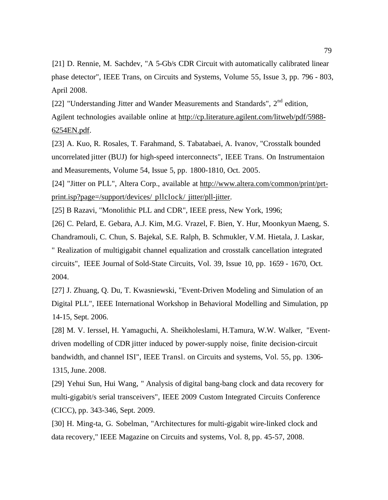[21] D. Rennie, M. Sachdev, "A 5-Gb/s CDR Circuit with automatically calibrated linear phase detector", IEEE Trans, on Circuits and Systems, Volume 55, Issue 3, pp. 796 - 803, April 2008.

[22] "Understanding Jitter and Wander Measurements and Standards", 2<sup>nd</sup> edition, Agilent technologies available online at <http://cp.literature.agilent.com/litweb/pdf/5988-> 6254EN.pdf.

[23] A. Kuo, R. Rosales, T. Farahmand, S. Tabatabaei, A. Ivanov, "Crosstalk bounded uncorrelated jitter (BUJ) for high-speed interconnects", IEEE Trans. On Instrumentaion and Measurements, Volume 54, Issue 5, pp. 1800-1810, Oct. 2005.

[24] "Jitter on PLL", Altera Corp., available at [http://www.altera.com/common/print/prt](http://www.altera.com/common/print/prt-)print.isp?page=/support/devices/ pllclock/ jitter/pll-jitter.

[25] B Razavi, "Monolithic PLL and CDR", IEEE press, New York, 1996;

[26] C. Pelard, E. Gebara, A.J. Kim, M.G. Vrazel, F. Bien, Y. Hur, Moonkyun Maeng, S. Chandramouli, C. Chun, S. Bajekal, S.E. Ralph, B. Schmukler, V.M. Hietala, J. Laskar, " Realization of multigigabit channel equalization and crosstalk cancellation integrated circuits", IEEE Journal of Sold-State Circuits, Vol. 39, Issue 10, pp. 1659 - 1670, Oct. 2004.

[27] J. Zhuang, Q. Du, T. Kwasniewski, "Event-Driven Modeling and Simulation of an Digital PLL", IEEE International Workshop in Behavioral Modelling and Simulation, pp 14-15, Sept. 2006.

[28] M. V. Ierssel, H. Yamaguchi, A. Sheikholeslami, H.Tamura, W.W. Walker, "Eventdriven modelling of CDR jitter induced by power-supply noise, finite decision-circuit bandwidth, and channel ISI", IEEE Transl. on Circuits and systems, Vol. 55, pp. 1306- 1315, June. 2008.

[29] Yehui Sun, Hui Wang, " Analysis of digital bang-bang clock and data recovery for multi-gigabit/s serial transceivers", IEEE 2009 Custom Integrated Circuits Conference (CICC), pp. 343-346, Sept. 2009.

[30] H. Ming-ta, G. Sobelman, "Architectures for multi-gigabit wire-linked clock and data recovery," IEEE Magazine on Circuits and systems, Vol. 8, pp. 45-57, 2008.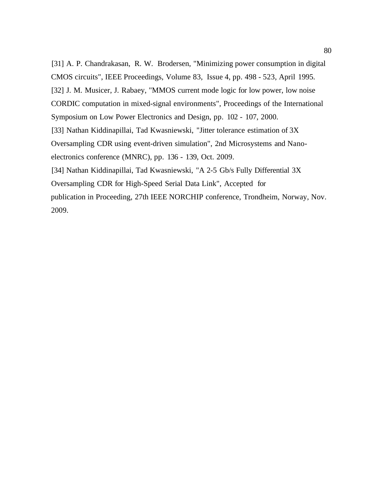[31] A. P. Chandrakasan, R. W. Brodersen, "Minimizing power consumption in digital CMOS circuits", IEEE Proceedings, Volume 83, Issue 4, pp. 498 - 523, April 1995. [32] J. M. Musicer, J. Rabaey, "MMOS current mode logic for low power, low noise CORDIC computation in mixed-signal environments", Proceedings of the International Symposium on Low Power Electronics and Design, pp. 102 - 107, 2000. [33] Nathan Kiddinapillai, Tad Kwasniewski, "Jitter tolerance estimation of 3X Oversampling CDR using event-driven simulation", 2nd Microsystems and Nanoelectronics conference (MNRC), pp. 136 - 139, Oct. 2009. [34] Nathan Kiddinapillai, Tad Kwasniewski, "A 2-5 Gb/s Fully Differential 3X Oversampling CDR for High-Speed Serial Data Link", Accepted for publication in Proceeding, 27th IEEE NORCHIP conference, Trondheim, Norway, Nov. 2009.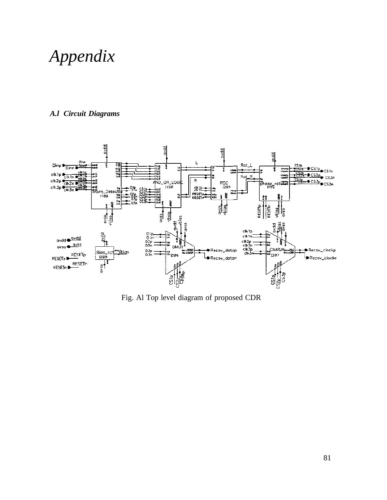# *Appendix*

#### *A.l Circuit Diagrams*



Fig. Al Top level diagram of proposed CDR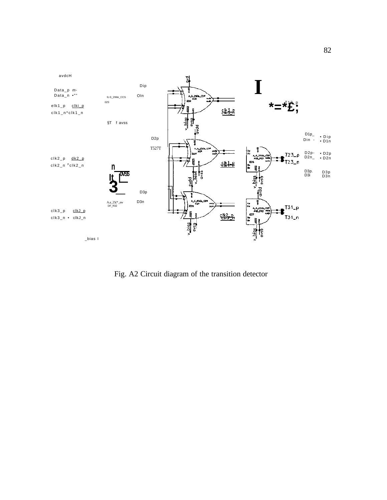

Fig. A2 Circuit diagram of the transition detector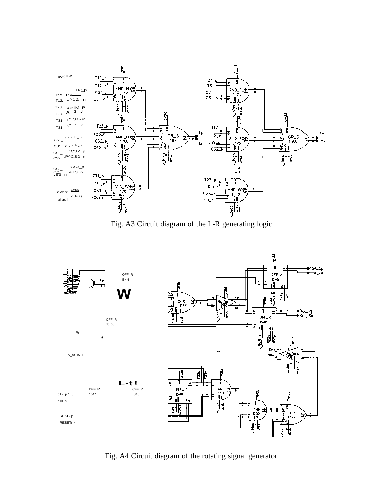

Fig. A3 Circuit diagram of the L-R generating logic



Fig. A4 Circuit diagram of the rotating signal generator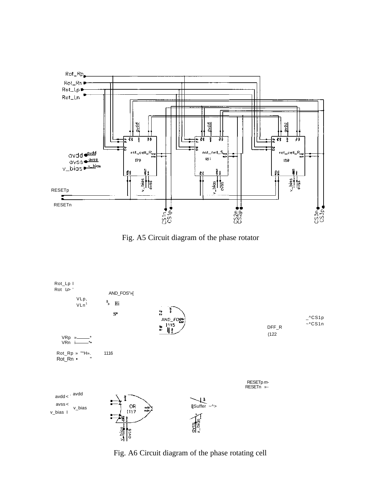

Fig. A5 Circuit diagram of the phase rotator



Fig. A6 Circuit diagram of the phase rotating cell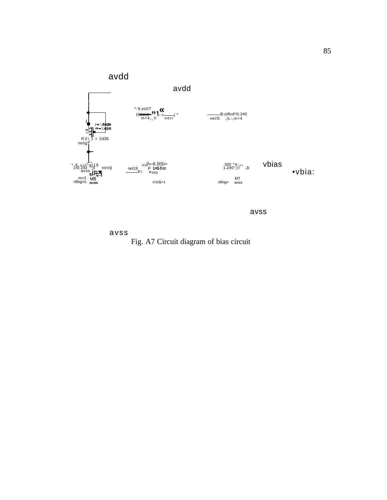

avss

avss Fig. A7 Circuit diagram of bias circuit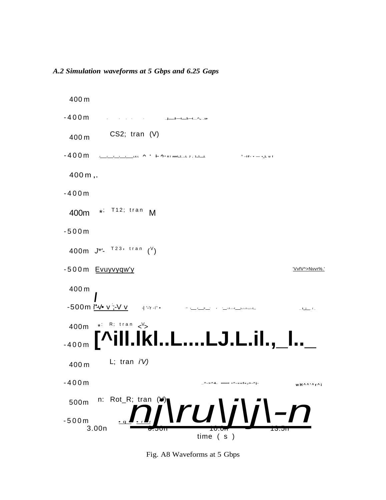#### A.2 Simulation waveforms at 5 Gbps and 6.25 Gaps



Fig. A8 Waveforms at 5 Gbps